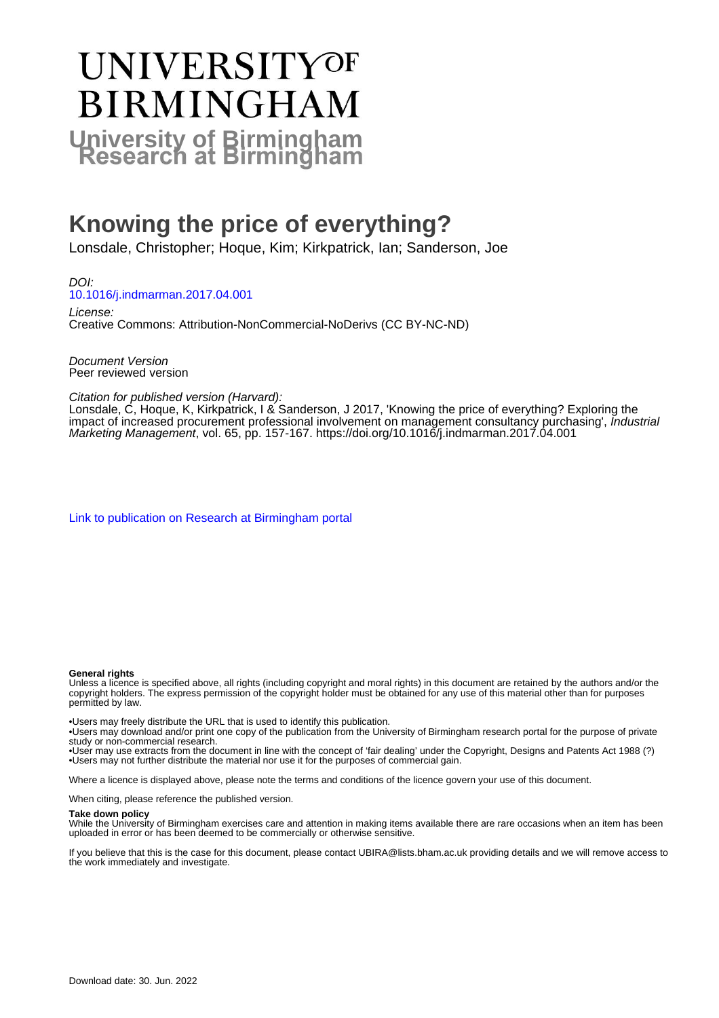# **UNIVERSITYOF BIRMINGHAM University of Birmingham**

# **Knowing the price of everything?**

Lonsdale, Christopher; Hoque, Kim; Kirkpatrick, Ian; Sanderson, Joe

DOI: [10.1016/j.indmarman.2017.04.001](https://doi.org/10.1016/j.indmarman.2017.04.001)

License: Creative Commons: Attribution-NonCommercial-NoDerivs (CC BY-NC-ND)

Document Version Peer reviewed version

Citation for published version (Harvard):

Lonsdale, C, Hoque, K, Kirkpatrick, I & Sanderson, J 2017, 'Knowing the price of everything? Exploring the impact of increased procurement professional involvement on management consultancy purchasing', Industrial Marketing Management, vol. 65, pp. 157-167. <https://doi.org/10.1016/j.indmarman.2017.04.001>

[Link to publication on Research at Birmingham portal](https://birmingham.elsevierpure.com/en/publications/69c32542-3d3e-4099-b8c1-717c593348a6)

#### **General rights**

Unless a licence is specified above, all rights (including copyright and moral rights) in this document are retained by the authors and/or the copyright holders. The express permission of the copyright holder must be obtained for any use of this material other than for purposes permitted by law.

• Users may freely distribute the URL that is used to identify this publication.

• Users may download and/or print one copy of the publication from the University of Birmingham research portal for the purpose of private study or non-commercial research.

• User may use extracts from the document in line with the concept of 'fair dealing' under the Copyright, Designs and Patents Act 1988 (?) • Users may not further distribute the material nor use it for the purposes of commercial gain.

Where a licence is displayed above, please note the terms and conditions of the licence govern your use of this document.

When citing, please reference the published version.

#### **Take down policy**

While the University of Birmingham exercises care and attention in making items available there are rare occasions when an item has been uploaded in error or has been deemed to be commercially or otherwise sensitive.

If you believe that this is the case for this document, please contact UBIRA@lists.bham.ac.uk providing details and we will remove access to the work immediately and investigate.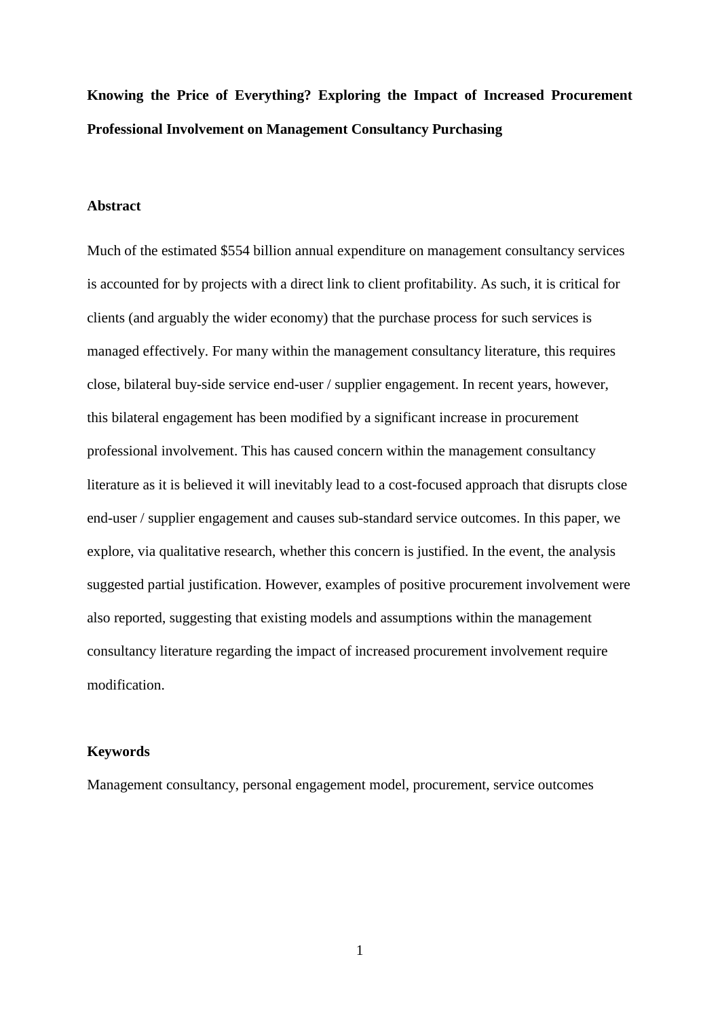**Knowing the Price of Everything? Exploring the Impact of Increased Procurement Professional Involvement on Management Consultancy Purchasing**

#### **Abstract**

Much of the estimated \$554 billion annual expenditure on management consultancy services is accounted for by projects with a direct link to client profitability. As such, it is critical for clients (and arguably the wider economy) that the purchase process for such services is managed effectively. For many within the management consultancy literature, this requires close, bilateral buy-side service end-user / supplier engagement. In recent years, however, this bilateral engagement has been modified by a significant increase in procurement professional involvement. This has caused concern within the management consultancy literature as it is believed it will inevitably lead to a cost-focused approach that disrupts close end-user / supplier engagement and causes sub-standard service outcomes. In this paper, we explore, via qualitative research, whether this concern is justified. In the event, the analysis suggested partial justification. However, examples of positive procurement involvement were also reported, suggesting that existing models and assumptions within the management consultancy literature regarding the impact of increased procurement involvement require modification.

#### **Keywords**

Management consultancy, personal engagement model, procurement, service outcomes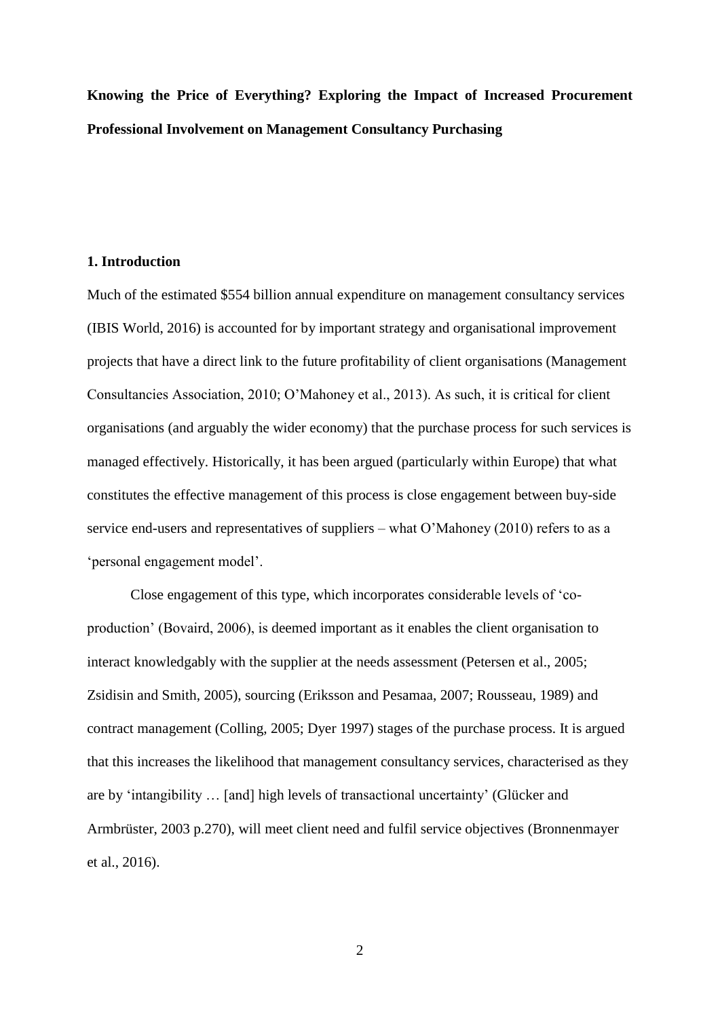**Knowing the Price of Everything? Exploring the Impact of Increased Procurement Professional Involvement on Management Consultancy Purchasing**

#### **1. Introduction**

Much of the estimated \$554 billion annual expenditure on management consultancy services (IBIS World, 2016) is accounted for by important strategy and organisational improvement projects that have a direct link to the future profitability of client organisations (Management Consultancies Association, 2010; O'Mahoney et al., 2013). As such, it is critical for client organisations (and arguably the wider economy) that the purchase process for such services is managed effectively. Historically, it has been argued (particularly within Europe) that what constitutes the effective management of this process is close engagement between buy-side service end-users and representatives of suppliers – what O'Mahoney (2010) refers to as a 'personal engagement model'.

Close engagement of this type, which incorporates considerable levels of 'coproduction' (Bovaird, 2006), is deemed important as it enables the client organisation to interact knowledgably with the supplier at the needs assessment (Petersen et al., 2005; Zsidisin and Smith, 2005), sourcing (Eriksson and Pesamaa, 2007; Rousseau, 1989) and contract management (Colling, 2005; Dyer 1997) stages of the purchase process. It is argued that this increases the likelihood that management consultancy services, characterised as they are by 'intangibility … [and] high levels of transactional uncertainty' (Glücker and Armbrüster, 2003 p.270), will meet client need and fulfil service objectives (Bronnenmayer et al., 2016).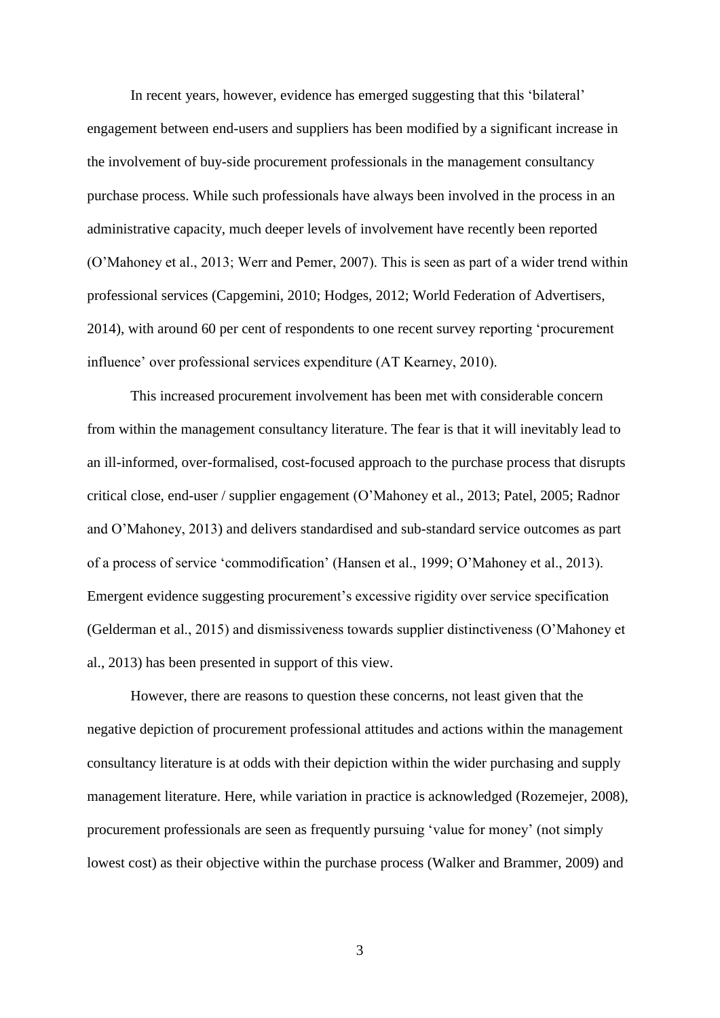In recent years, however, evidence has emerged suggesting that this 'bilateral' engagement between end-users and suppliers has been modified by a significant increase in the involvement of buy-side procurement professionals in the management consultancy purchase process. While such professionals have always been involved in the process in an administrative capacity, much deeper levels of involvement have recently been reported (O'Mahoney et al., 2013; Werr and Pemer, 2007). This is seen as part of a wider trend within professional services (Capgemini, 2010; Hodges, 2012; World Federation of Advertisers, 2014), with around 60 per cent of respondents to one recent survey reporting 'procurement influence' over professional services expenditure (AT Kearney, 2010).

This increased procurement involvement has been met with considerable concern from within the management consultancy literature. The fear is that it will inevitably lead to an ill-informed, over-formalised, cost-focused approach to the purchase process that disrupts critical close, end-user / supplier engagement (O'Mahoney et al., 2013; Patel, 2005; Radnor and O'Mahoney, 2013) and delivers standardised and sub-standard service outcomes as part of a process of service 'commodification' (Hansen et al., 1999; O'Mahoney et al., 2013). Emergent evidence suggesting procurement's excessive rigidity over service specification (Gelderman et al., 2015) and dismissiveness towards supplier distinctiveness (O'Mahoney et al., 2013) has been presented in support of this view.

However, there are reasons to question these concerns, not least given that the negative depiction of procurement professional attitudes and actions within the management consultancy literature is at odds with their depiction within the wider purchasing and supply management literature. Here, while variation in practice is acknowledged (Rozemejer, 2008), procurement professionals are seen as frequently pursuing 'value for money' (not simply lowest cost) as their objective within the purchase process (Walker and Brammer, 2009) and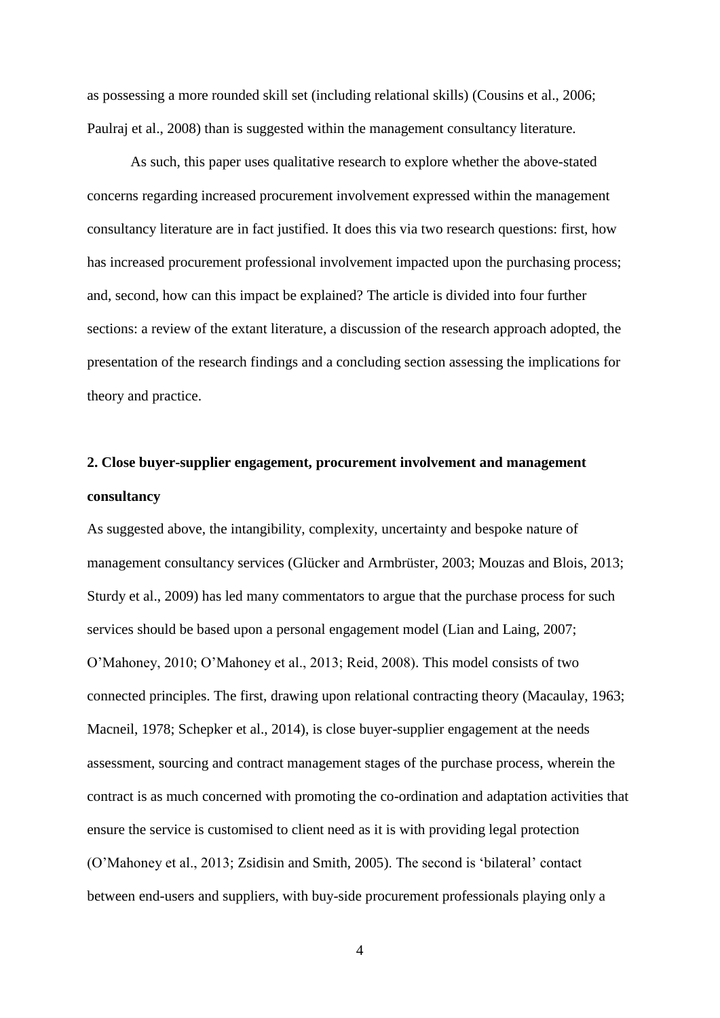as possessing a more rounded skill set (including relational skills) (Cousins et al., 2006; Paulraj et al., 2008) than is suggested within the management consultancy literature.

As such, this paper uses qualitative research to explore whether the above-stated concerns regarding increased procurement involvement expressed within the management consultancy literature are in fact justified. It does this via two research questions: first, how has increased procurement professional involvement impacted upon the purchasing process; and, second, how can this impact be explained? The article is divided into four further sections: a review of the extant literature, a discussion of the research approach adopted, the presentation of the research findings and a concluding section assessing the implications for theory and practice.

# **2. Close buyer-supplier engagement, procurement involvement and management consultancy**

As suggested above, the intangibility, complexity, uncertainty and bespoke nature of management consultancy services (Glücker and Armbrüster, 2003; Mouzas and Blois, 2013; Sturdy et al., 2009) has led many commentators to argue that the purchase process for such services should be based upon a personal engagement model (Lian and Laing, 2007; O'Mahoney, 2010; O'Mahoney et al., 2013; Reid, 2008). This model consists of two connected principles. The first, drawing upon relational contracting theory (Macaulay, 1963; Macneil, 1978; Schepker et al., 2014), is close buyer-supplier engagement at the needs assessment, sourcing and contract management stages of the purchase process, wherein the contract is as much concerned with promoting the co-ordination and adaptation activities that ensure the service is customised to client need as it is with providing legal protection (O'Mahoney et al., 2013; Zsidisin and Smith, 2005). The second is 'bilateral' contact between end-users and suppliers, with buy-side procurement professionals playing only a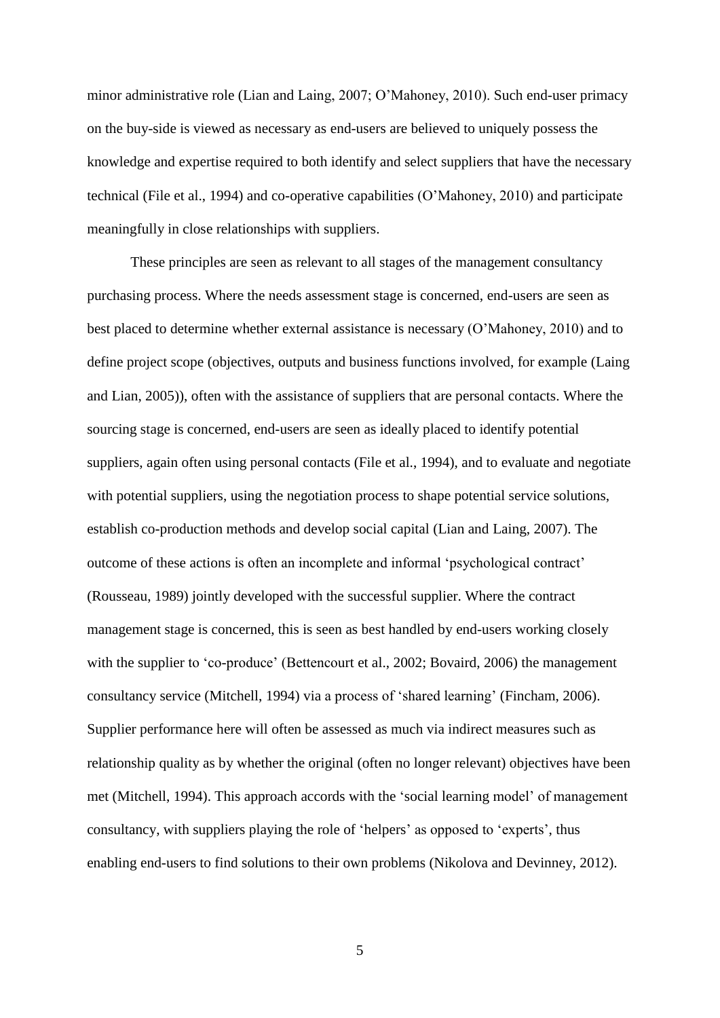minor administrative role (Lian and Laing, 2007; O'Mahoney, 2010). Such end-user primacy on the buy-side is viewed as necessary as end-users are believed to uniquely possess the knowledge and expertise required to both identify and select suppliers that have the necessary technical (File et al., 1994) and co-operative capabilities (O'Mahoney, 2010) and participate meaningfully in close relationships with suppliers.

These principles are seen as relevant to all stages of the management consultancy purchasing process. Where the needs assessment stage is concerned, end-users are seen as best placed to determine whether external assistance is necessary (O'Mahoney, 2010) and to define project scope (objectives, outputs and business functions involved, for example (Laing and Lian, 2005)), often with the assistance of suppliers that are personal contacts. Where the sourcing stage is concerned, end-users are seen as ideally placed to identify potential suppliers, again often using personal contacts (File et al., 1994), and to evaluate and negotiate with potential suppliers, using the negotiation process to shape potential service solutions, establish co-production methods and develop social capital (Lian and Laing, 2007). The outcome of these actions is often an incomplete and informal 'psychological contract' (Rousseau, 1989) jointly developed with the successful supplier. Where the contract management stage is concerned, this is seen as best handled by end-users working closely with the supplier to 'co-produce' (Bettencourt et al., 2002; Bovaird, 2006) the management consultancy service (Mitchell, 1994) via a process of 'shared learning' (Fincham, 2006). Supplier performance here will often be assessed as much via indirect measures such as relationship quality as by whether the original (often no longer relevant) objectives have been met (Mitchell, 1994). This approach accords with the 'social learning model' of management consultancy, with suppliers playing the role of 'helpers' as opposed to 'experts', thus enabling end-users to find solutions to their own problems (Nikolova and Devinney, 2012).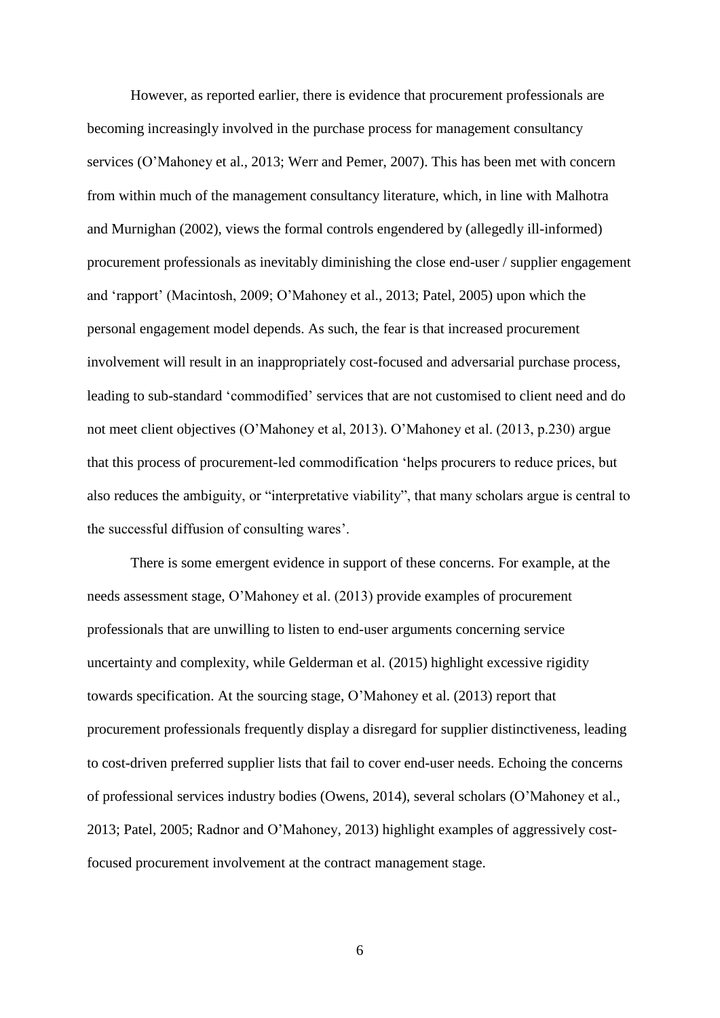However, as reported earlier, there is evidence that procurement professionals are becoming increasingly involved in the purchase process for management consultancy services (O'Mahoney et al., 2013; Werr and Pemer, 2007). This has been met with concern from within much of the management consultancy literature, which, in line with Malhotra and Murnighan (2002), views the formal controls engendered by (allegedly ill-informed) procurement professionals as inevitably diminishing the close end-user / supplier engagement and 'rapport' (Macintosh, 2009; O'Mahoney et al., 2013; Patel, 2005) upon which the personal engagement model depends. As such, the fear is that increased procurement involvement will result in an inappropriately cost-focused and adversarial purchase process, leading to sub-standard 'commodified' services that are not customised to client need and do not meet client objectives (O'Mahoney et al, 2013). O'Mahoney et al. (2013, p.230) argue that this process of procurement-led commodification 'helps procurers to reduce prices, but also reduces the ambiguity, or "interpretative viability", that many scholars argue is central to the successful diffusion of consulting wares'.

There is some emergent evidence in support of these concerns. For example, at the needs assessment stage, O'Mahoney et al. (2013) provide examples of procurement professionals that are unwilling to listen to end-user arguments concerning service uncertainty and complexity, while Gelderman et al. (2015) highlight excessive rigidity towards specification. At the sourcing stage, O'Mahoney et al. (2013) report that procurement professionals frequently display a disregard for supplier distinctiveness, leading to cost-driven preferred supplier lists that fail to cover end-user needs. Echoing the concerns of professional services industry bodies (Owens, 2014), several scholars (O'Mahoney et al., 2013; Patel, 2005; Radnor and O'Mahoney, 2013) highlight examples of aggressively costfocused procurement involvement at the contract management stage.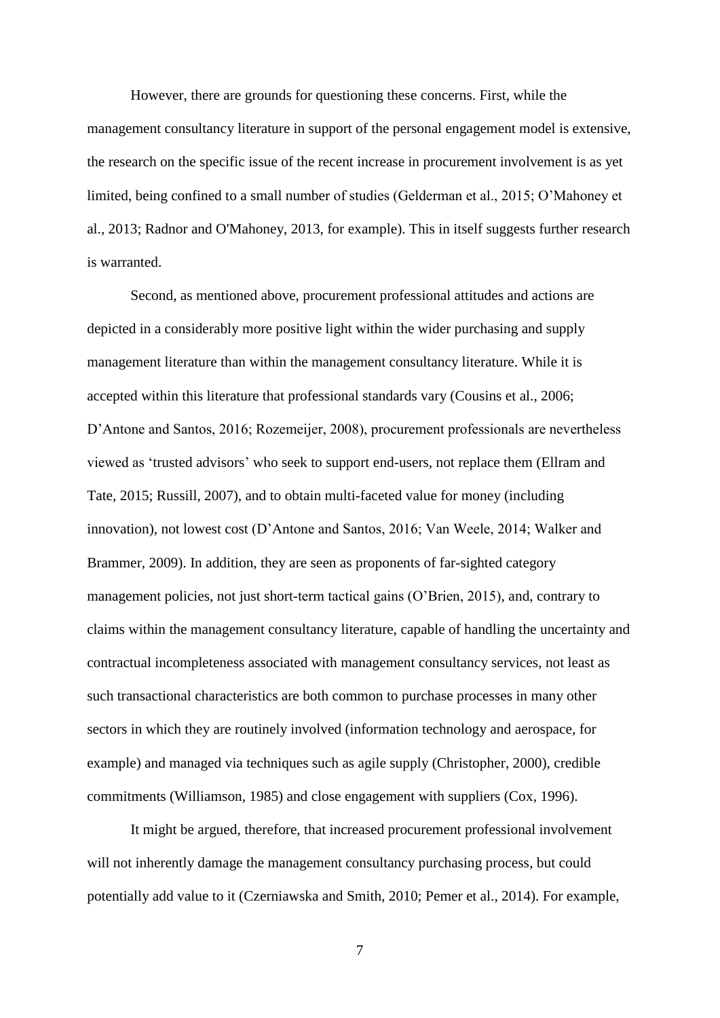However, there are grounds for questioning these concerns. First, while the management consultancy literature in support of the personal engagement model is extensive, the research on the specific issue of the recent increase in procurement involvement is as yet limited, being confined to a small number of studies (Gelderman et al., 2015; O'Mahoney et al., 2013; Radnor and O'Mahoney, 2013, for example). This in itself suggests further research is warranted.

Second, as mentioned above, procurement professional attitudes and actions are depicted in a considerably more positive light within the wider purchasing and supply management literature than within the management consultancy literature. While it is accepted within this literature that professional standards vary (Cousins et al., 2006; D'Antone and Santos, 2016; Rozemeijer, 2008), procurement professionals are nevertheless viewed as 'trusted advisors' who seek to support end-users, not replace them (Ellram and Tate, 2015; Russill, 2007), and to obtain multi-faceted value for money (including innovation), not lowest cost (D'Antone and Santos, 2016; Van Weele, 2014; Walker and Brammer, 2009). In addition, they are seen as proponents of far-sighted category management policies, not just short-term tactical gains (O'Brien, 2015), and, contrary to claims within the management consultancy literature, capable of handling the uncertainty and contractual incompleteness associated with management consultancy services, not least as such transactional characteristics are both common to purchase processes in many other sectors in which they are routinely involved (information technology and aerospace, for example) and managed via techniques such as agile supply (Christopher, 2000), credible commitments (Williamson, 1985) and close engagement with suppliers (Cox, 1996).

It might be argued, therefore, that increased procurement professional involvement will not inherently damage the management consultancy purchasing process, but could potentially add value to it (Czerniawska and Smith, 2010; Pemer et al., 2014). For example,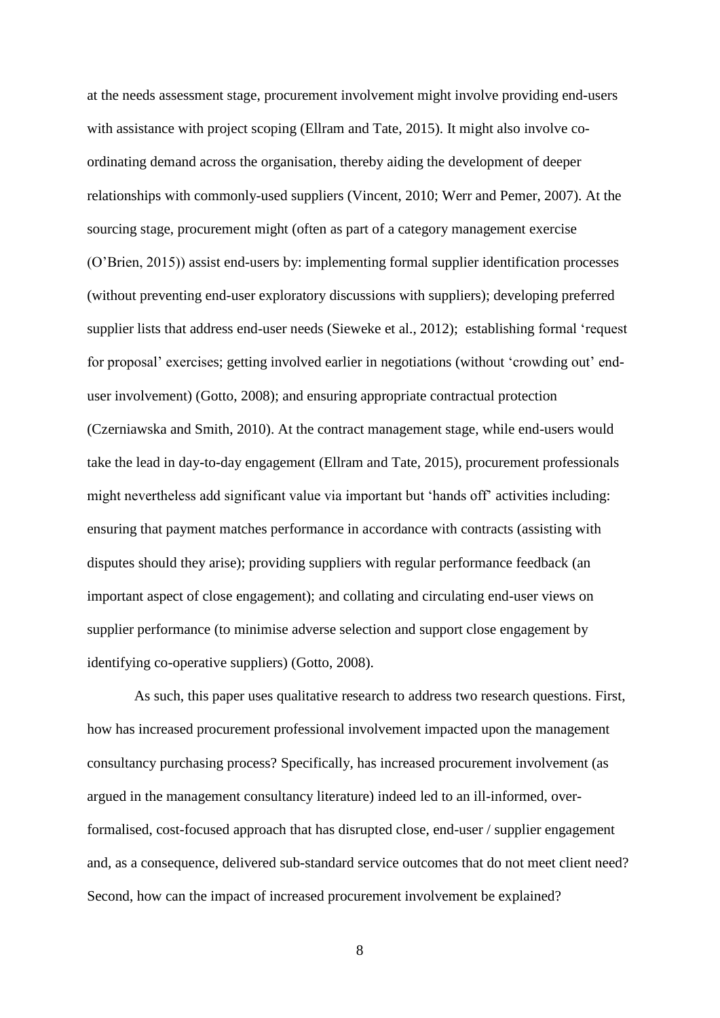at the needs assessment stage, procurement involvement might involve providing end-users with assistance with project scoping (Ellram and Tate, 2015). It might also involve coordinating demand across the organisation, thereby aiding the development of deeper relationships with commonly-used suppliers (Vincent, 2010; Werr and Pemer, 2007). At the sourcing stage, procurement might (often as part of a category management exercise (O'Brien, 2015)) assist end-users by: implementing formal supplier identification processes (without preventing end-user exploratory discussions with suppliers); developing preferred supplier lists that address end-user needs (Sieweke et al., 2012); establishing formal 'request for proposal' exercises; getting involved earlier in negotiations (without 'crowding out' enduser involvement) (Gotto, 2008); and ensuring appropriate contractual protection (Czerniawska and Smith, 2010). At the contract management stage, while end-users would take the lead in day-to-day engagement (Ellram and Tate, 2015), procurement professionals might nevertheless add significant value via important but 'hands off' activities including: ensuring that payment matches performance in accordance with contracts (assisting with disputes should they arise); providing suppliers with regular performance feedback (an important aspect of close engagement); and collating and circulating end-user views on supplier performance (to minimise adverse selection and support close engagement by identifying co-operative suppliers) (Gotto, 2008).

As such, this paper uses qualitative research to address two research questions. First, how has increased procurement professional involvement impacted upon the management consultancy purchasing process? Specifically, has increased procurement involvement (as argued in the management consultancy literature) indeed led to an ill-informed, overformalised, cost-focused approach that has disrupted close, end-user / supplier engagement and, as a consequence, delivered sub-standard service outcomes that do not meet client need? Second, how can the impact of increased procurement involvement be explained?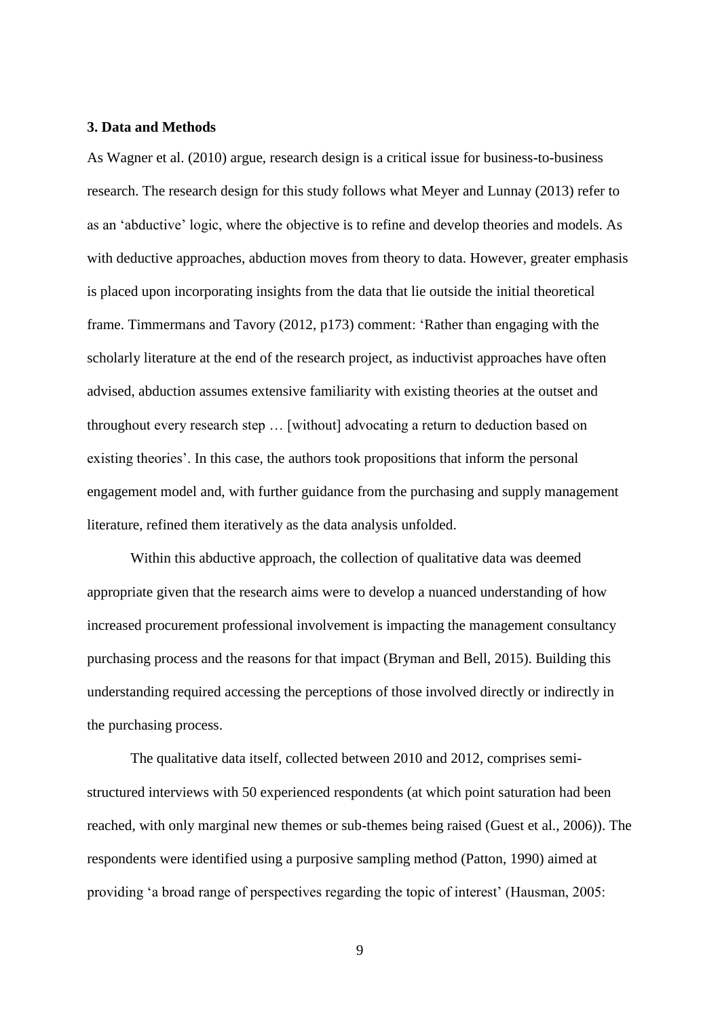#### **3. Data and Methods**

As Wagner et al. (2010) argue, research design is a critical issue for business-to-business research. The research design for this study follows what Meyer and Lunnay (2013) refer to as an 'abductive' logic, where the objective is to refine and develop theories and models. As with deductive approaches, abduction moves from theory to data. However, greater emphasis is placed upon incorporating insights from the data that lie outside the initial theoretical frame. Timmermans and Tavory (2012, p173) comment: 'Rather than engaging with the scholarly literature at the end of the research project, as inductivist approaches have often advised, abduction assumes extensive familiarity with existing theories at the outset and throughout every research step … [without] advocating a return to deduction based on existing theories'. In this case, the authors took propositions that inform the personal engagement model and, with further guidance from the purchasing and supply management literature, refined them iteratively as the data analysis unfolded.

Within this abductive approach, the collection of qualitative data was deemed appropriate given that the research aims were to develop a nuanced understanding of how increased procurement professional involvement is impacting the management consultancy purchasing process and the reasons for that impact (Bryman and Bell, 2015). Building this understanding required accessing the perceptions of those involved directly or indirectly in the purchasing process.

The qualitative data itself, collected between 2010 and 2012, comprises semistructured interviews with 50 experienced respondents (at which point saturation had been reached, with only marginal new themes or sub-themes being raised (Guest et al., 2006)). The respondents were identified using a purposive sampling method (Patton, 1990) aimed at providing 'a broad range of perspectives regarding the topic of interest' (Hausman, 2005: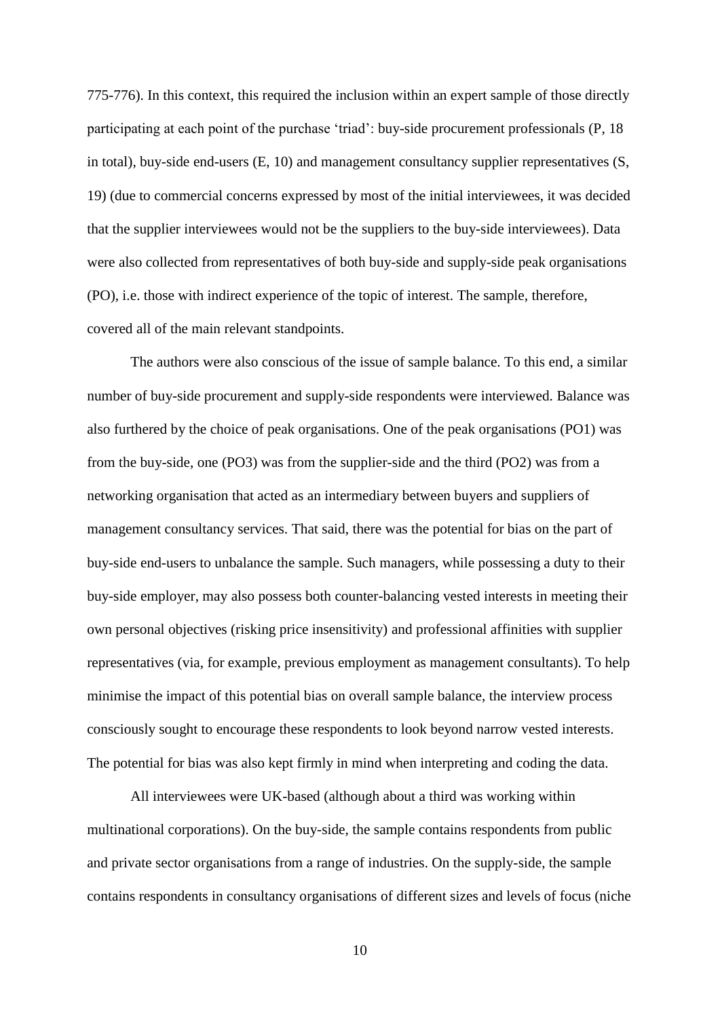775-776). In this context, this required the inclusion within an expert sample of those directly participating at each point of the purchase 'triad': buy-side procurement professionals (P, 18 in total), buy-side end-users (E, 10) and management consultancy supplier representatives (S, 19) (due to commercial concerns expressed by most of the initial interviewees, it was decided that the supplier interviewees would not be the suppliers to the buy-side interviewees). Data were also collected from representatives of both buy-side and supply-side peak organisations (PO), i.e. those with indirect experience of the topic of interest. The sample, therefore, covered all of the main relevant standpoints.

The authors were also conscious of the issue of sample balance. To this end, a similar number of buy-side procurement and supply-side respondents were interviewed. Balance was also furthered by the choice of peak organisations. One of the peak organisations (PO1) was from the buy-side, one (PO3) was from the supplier-side and the third (PO2) was from a networking organisation that acted as an intermediary between buyers and suppliers of management consultancy services. That said, there was the potential for bias on the part of buy-side end-users to unbalance the sample. Such managers, while possessing a duty to their buy-side employer, may also possess both counter-balancing vested interests in meeting their own personal objectives (risking price insensitivity) and professional affinities with supplier representatives (via, for example, previous employment as management consultants). To help minimise the impact of this potential bias on overall sample balance, the interview process consciously sought to encourage these respondents to look beyond narrow vested interests. The potential for bias was also kept firmly in mind when interpreting and coding the data.

All interviewees were UK-based (although about a third was working within multinational corporations). On the buy-side, the sample contains respondents from public and private sector organisations from a range of industries. On the supply-side, the sample contains respondents in consultancy organisations of different sizes and levels of focus (niche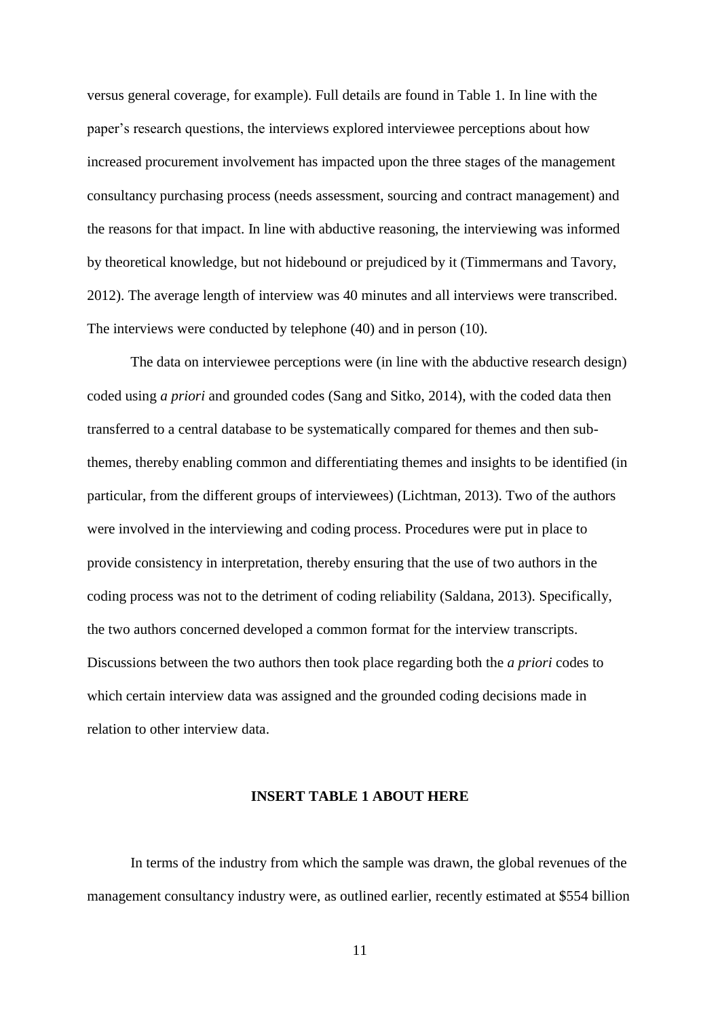versus general coverage, for example). Full details are found in Table 1. In line with the paper's research questions, the interviews explored interviewee perceptions about how increased procurement involvement has impacted upon the three stages of the management consultancy purchasing process (needs assessment, sourcing and contract management) and the reasons for that impact. In line with abductive reasoning, the interviewing was informed by theoretical knowledge, but not hidebound or prejudiced by it (Timmermans and Tavory, 2012). The average length of interview was 40 minutes and all interviews were transcribed. The interviews were conducted by telephone (40) and in person (10).

The data on interviewee perceptions were (in line with the abductive research design) coded using *a priori* and grounded codes (Sang and Sitko, 2014), with the coded data then transferred to a central database to be systematically compared for themes and then subthemes, thereby enabling common and differentiating themes and insights to be identified (in particular, from the different groups of interviewees) (Lichtman, 2013). Two of the authors were involved in the interviewing and coding process. Procedures were put in place to provide consistency in interpretation, thereby ensuring that the use of two authors in the coding process was not to the detriment of coding reliability (Saldana, 2013). Specifically, the two authors concerned developed a common format for the interview transcripts. Discussions between the two authors then took place regarding both the *a priori* codes to which certain interview data was assigned and the grounded coding decisions made in relation to other interview data.

#### **INSERT TABLE 1 ABOUT HERE**

In terms of the industry from which the sample was drawn, the global revenues of the management consultancy industry were, as outlined earlier, recently estimated at \$554 billion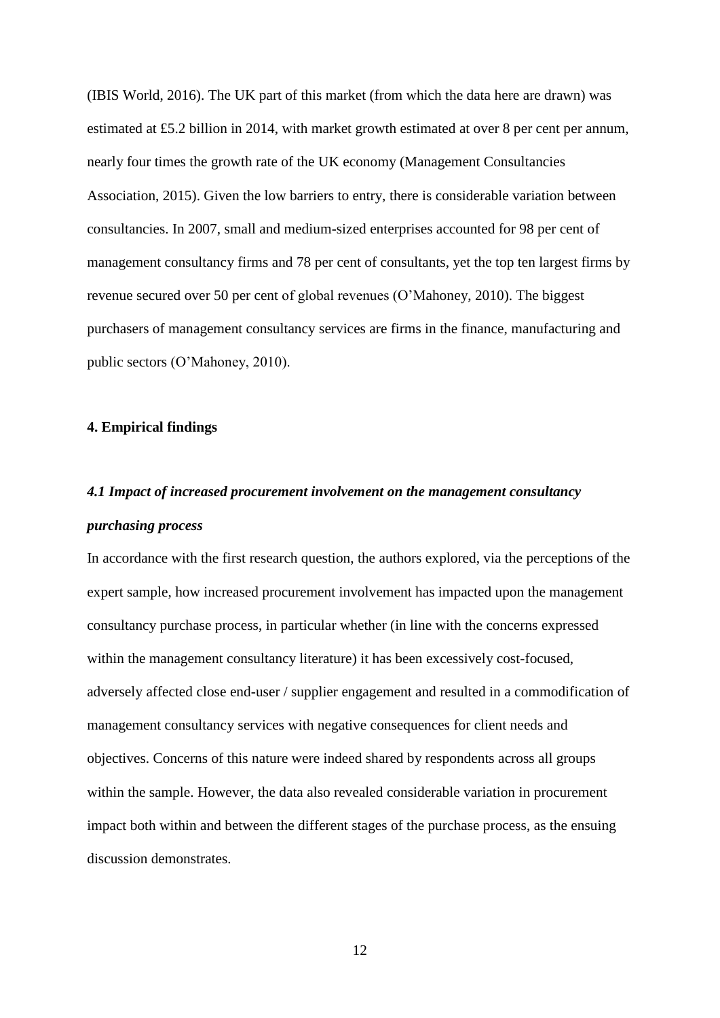(IBIS World, 2016). The UK part of this market (from which the data here are drawn) was estimated at £5.2 billion in 2014, with market growth estimated at over 8 per cent per annum, nearly four times the growth rate of the UK economy (Management Consultancies Association, 2015). Given the low barriers to entry, there is considerable variation between consultancies. In 2007, small and medium-sized enterprises accounted for 98 per cent of management consultancy firms and 78 per cent of consultants, yet the top ten largest firms by revenue secured over 50 per cent of global revenues (O'Mahoney, 2010). The biggest purchasers of management consultancy services are firms in the finance, manufacturing and public sectors (O'Mahoney, 2010).

#### **4. Empirical findings**

# *4.1 Impact of increased procurement involvement on the management consultancy purchasing process*

In accordance with the first research question, the authors explored, via the perceptions of the expert sample, how increased procurement involvement has impacted upon the management consultancy purchase process, in particular whether (in line with the concerns expressed within the management consultancy literature) it has been excessively cost-focused, adversely affected close end-user / supplier engagement and resulted in a commodification of management consultancy services with negative consequences for client needs and objectives. Concerns of this nature were indeed shared by respondents across all groups within the sample. However, the data also revealed considerable variation in procurement impact both within and between the different stages of the purchase process, as the ensuing discussion demonstrates.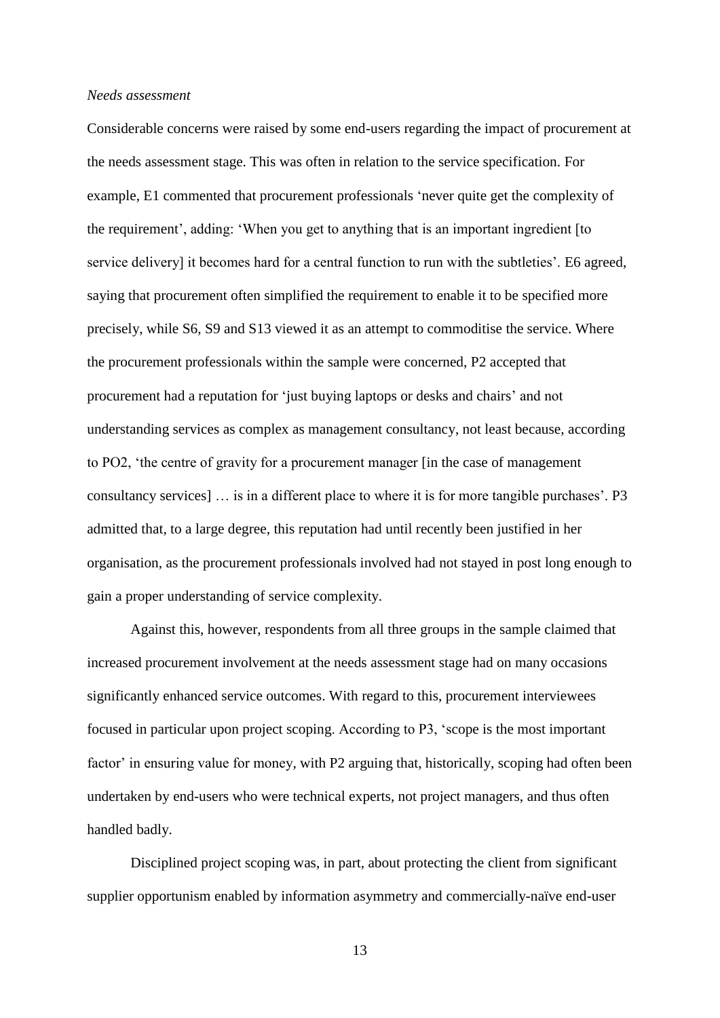#### *Needs assessment*

Considerable concerns were raised by some end-users regarding the impact of procurement at the needs assessment stage. This was often in relation to the service specification. For example, E1 commented that procurement professionals 'never quite get the complexity of the requirement', adding: 'When you get to anything that is an important ingredient [to service delivery] it becomes hard for a central function to run with the subtleties'. E6 agreed, saying that procurement often simplified the requirement to enable it to be specified more precisely, while S6, S9 and S13 viewed it as an attempt to commoditise the service. Where the procurement professionals within the sample were concerned, P2 accepted that procurement had a reputation for 'just buying laptops or desks and chairs' and not understanding services as complex as management consultancy, not least because, according to PO2, 'the centre of gravity for a procurement manager [in the case of management consultancy services] … is in a different place to where it is for more tangible purchases'. P3 admitted that, to a large degree, this reputation had until recently been justified in her organisation, as the procurement professionals involved had not stayed in post long enough to gain a proper understanding of service complexity.

Against this, however, respondents from all three groups in the sample claimed that increased procurement involvement at the needs assessment stage had on many occasions significantly enhanced service outcomes. With regard to this, procurement interviewees focused in particular upon project scoping. According to P3, 'scope is the most important factor' in ensuring value for money, with P2 arguing that, historically, scoping had often been undertaken by end-users who were technical experts, not project managers, and thus often handled badly.

Disciplined project scoping was, in part, about protecting the client from significant supplier opportunism enabled by information asymmetry and commercially-naïve end-user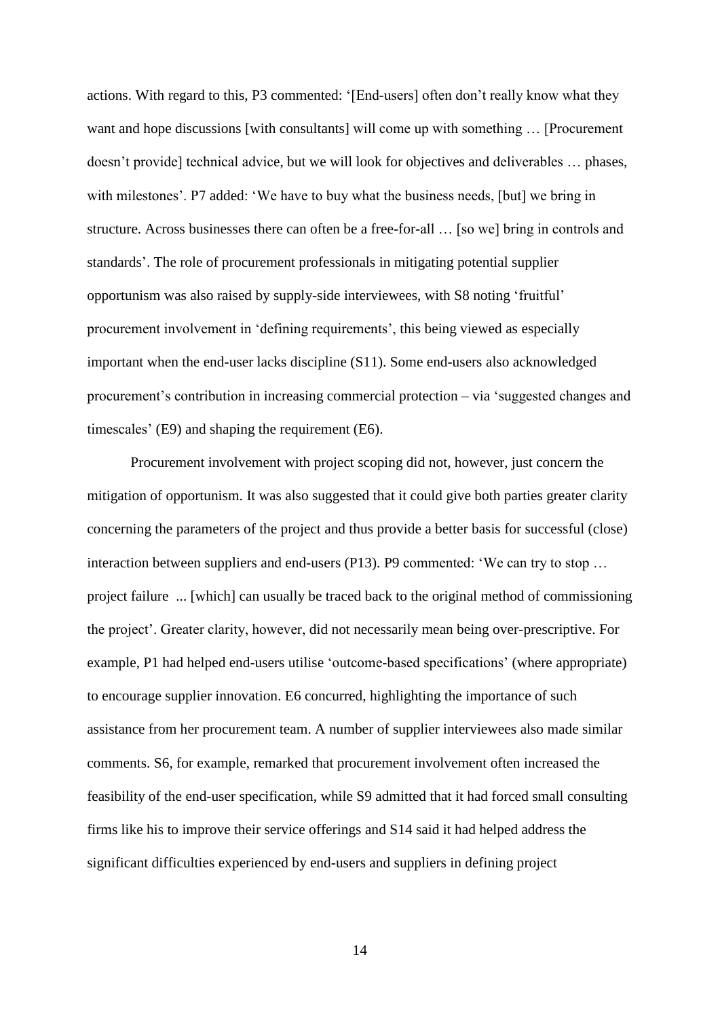actions. With regard to this, P3 commented: '[End-users] often don't really know what they want and hope discussions [with consultants] will come up with something … [Procurement doesn't provide] technical advice, but we will look for objectives and deliverables … phases, with milestones'. P7 added: 'We have to buy what the business needs, [but] we bring in structure. Across businesses there can often be a free-for-all … [so we] bring in controls and standards'. The role of procurement professionals in mitigating potential supplier opportunism was also raised by supply-side interviewees, with S8 noting 'fruitful' procurement involvement in 'defining requirements', this being viewed as especially important when the end-user lacks discipline (S11). Some end-users also acknowledged procurement's contribution in increasing commercial protection – via 'suggested changes and timescales' (E9) and shaping the requirement (E6).

Procurement involvement with project scoping did not, however, just concern the mitigation of opportunism. It was also suggested that it could give both parties greater clarity concerning the parameters of the project and thus provide a better basis for successful (close) interaction between suppliers and end-users (P13). P9 commented: 'We can try to stop … project failure ... [which] can usually be traced back to the original method of commissioning the project'. Greater clarity, however, did not necessarily mean being over-prescriptive. For example, P1 had helped end-users utilise 'outcome-based specifications' (where appropriate) to encourage supplier innovation. E6 concurred, highlighting the importance of such assistance from her procurement team. A number of supplier interviewees also made similar comments. S6, for example, remarked that procurement involvement often increased the feasibility of the end-user specification, while S9 admitted that it had forced small consulting firms like his to improve their service offerings and S14 said it had helped address the significant difficulties experienced by end-users and suppliers in defining project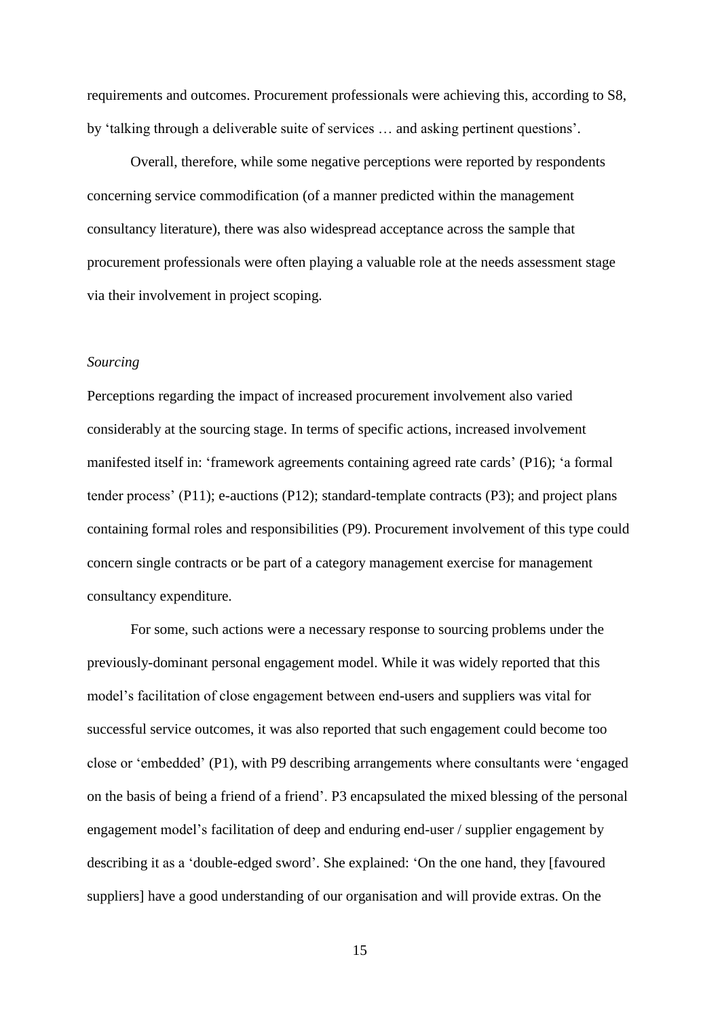requirements and outcomes. Procurement professionals were achieving this, according to S8, by 'talking through a deliverable suite of services … and asking pertinent questions'.

Overall, therefore, while some negative perceptions were reported by respondents concerning service commodification (of a manner predicted within the management consultancy literature), there was also widespread acceptance across the sample that procurement professionals were often playing a valuable role at the needs assessment stage via their involvement in project scoping.

#### *Sourcing*

Perceptions regarding the impact of increased procurement involvement also varied considerably at the sourcing stage. In terms of specific actions, increased involvement manifested itself in: 'framework agreements containing agreed rate cards' (P16); 'a formal tender process' (P11); e-auctions (P12); standard-template contracts (P3); and project plans containing formal roles and responsibilities (P9). Procurement involvement of this type could concern single contracts or be part of a category management exercise for management consultancy expenditure.

For some, such actions were a necessary response to sourcing problems under the previously-dominant personal engagement model. While it was widely reported that this model's facilitation of close engagement between end-users and suppliers was vital for successful service outcomes, it was also reported that such engagement could become too close or 'embedded' (P1), with P9 describing arrangements where consultants were 'engaged on the basis of being a friend of a friend'. P3 encapsulated the mixed blessing of the personal engagement model's facilitation of deep and enduring end-user / supplier engagement by describing it as a 'double-edged sword'. She explained: 'On the one hand, they [favoured suppliers] have a good understanding of our organisation and will provide extras. On the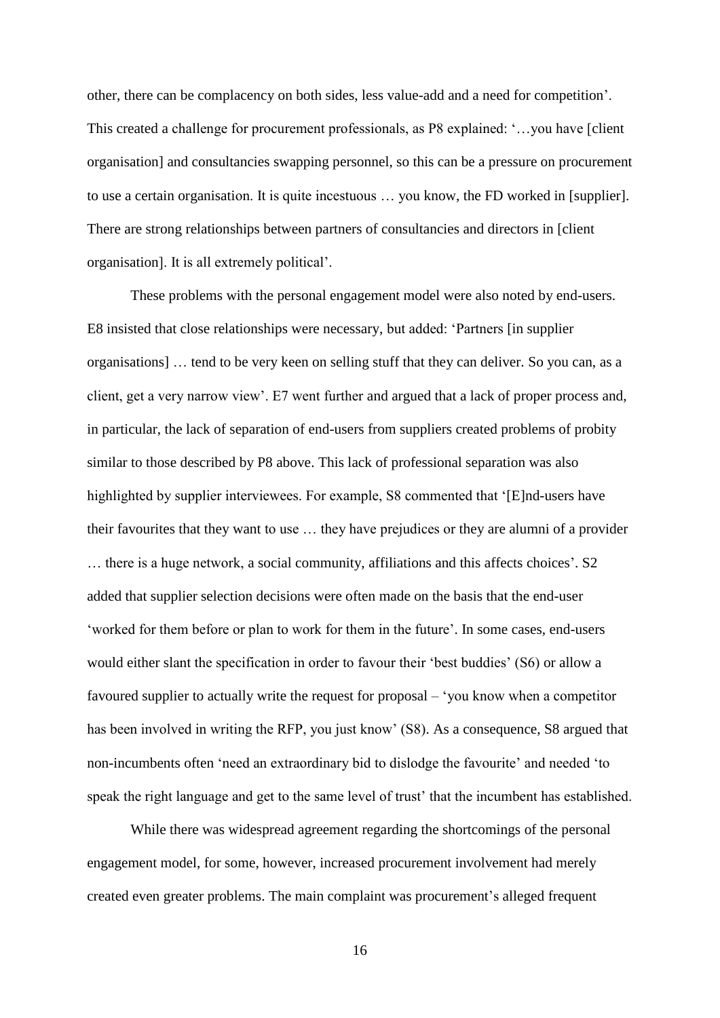other, there can be complacency on both sides, less value-add and a need for competition'. This created a challenge for procurement professionals, as P8 explained: '…you have [client organisation] and consultancies swapping personnel, so this can be a pressure on procurement to use a certain organisation. It is quite incestuous … you know, the FD worked in [supplier]. There are strong relationships between partners of consultancies and directors in [client organisation]. It is all extremely political'.

These problems with the personal engagement model were also noted by end-users. E8 insisted that close relationships were necessary, but added: 'Partners [in supplier organisations] … tend to be very keen on selling stuff that they can deliver. So you can, as a client, get a very narrow view'. E7 went further and argued that a lack of proper process and, in particular, the lack of separation of end-users from suppliers created problems of probity similar to those described by P8 above. This lack of professional separation was also highlighted by supplier interviewees. For example, S8 commented that '[E]nd-users have their favourites that they want to use … they have prejudices or they are alumni of a provider … there is a huge network, a social community, affiliations and this affects choices'. S2 added that supplier selection decisions were often made on the basis that the end-user 'worked for them before or plan to work for them in the future'. In some cases, end-users would either slant the specification in order to favour their 'best buddies' (S6) or allow a favoured supplier to actually write the request for proposal – 'you know when a competitor has been involved in writing the RFP, you just know' (S8). As a consequence, S8 argued that non-incumbents often 'need an extraordinary bid to dislodge the favourite' and needed 'to speak the right language and get to the same level of trust' that the incumbent has established.

While there was widespread agreement regarding the shortcomings of the personal engagement model, for some, however, increased procurement involvement had merely created even greater problems. The main complaint was procurement's alleged frequent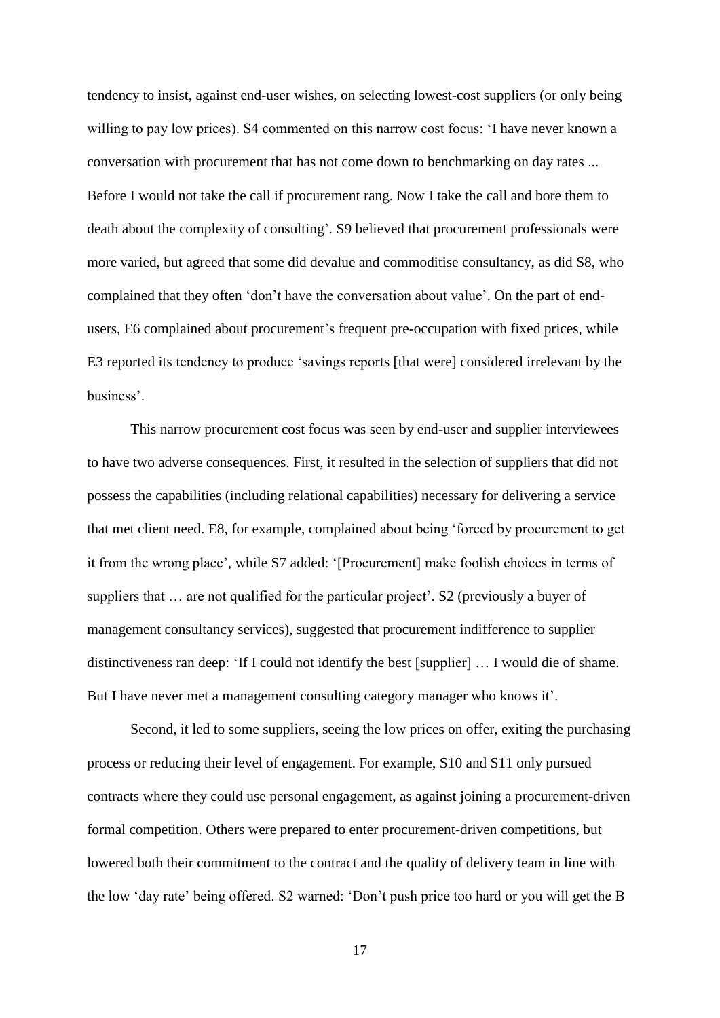tendency to insist, against end-user wishes, on selecting lowest-cost suppliers (or only being willing to pay low prices). S4 commented on this narrow cost focus: 'I have never known a conversation with procurement that has not come down to benchmarking on day rates ... Before I would not take the call if procurement rang. Now I take the call and bore them to death about the complexity of consulting'. S9 believed that procurement professionals were more varied, but agreed that some did devalue and commoditise consultancy, as did S8, who complained that they often 'don't have the conversation about value'. On the part of endusers, E6 complained about procurement's frequent pre-occupation with fixed prices, while E3 reported its tendency to produce 'savings reports [that were] considered irrelevant by the business'.

This narrow procurement cost focus was seen by end-user and supplier interviewees to have two adverse consequences. First, it resulted in the selection of suppliers that did not possess the capabilities (including relational capabilities) necessary for delivering a service that met client need. E8, for example, complained about being 'forced by procurement to get it from the wrong place', while S7 added: '[Procurement] make foolish choices in terms of suppliers that … are not qualified for the particular project'. S2 (previously a buyer of management consultancy services), suggested that procurement indifference to supplier distinctiveness ran deep: 'If I could not identify the best [supplier] … I would die of shame. But I have never met a management consulting category manager who knows it'.

Second, it led to some suppliers, seeing the low prices on offer, exiting the purchasing process or reducing their level of engagement. For example, S10 and S11 only pursued contracts where they could use personal engagement, as against joining a procurement-driven formal competition. Others were prepared to enter procurement-driven competitions, but lowered both their commitment to the contract and the quality of delivery team in line with the low 'day rate' being offered. S2 warned: 'Don't push price too hard or you will get the B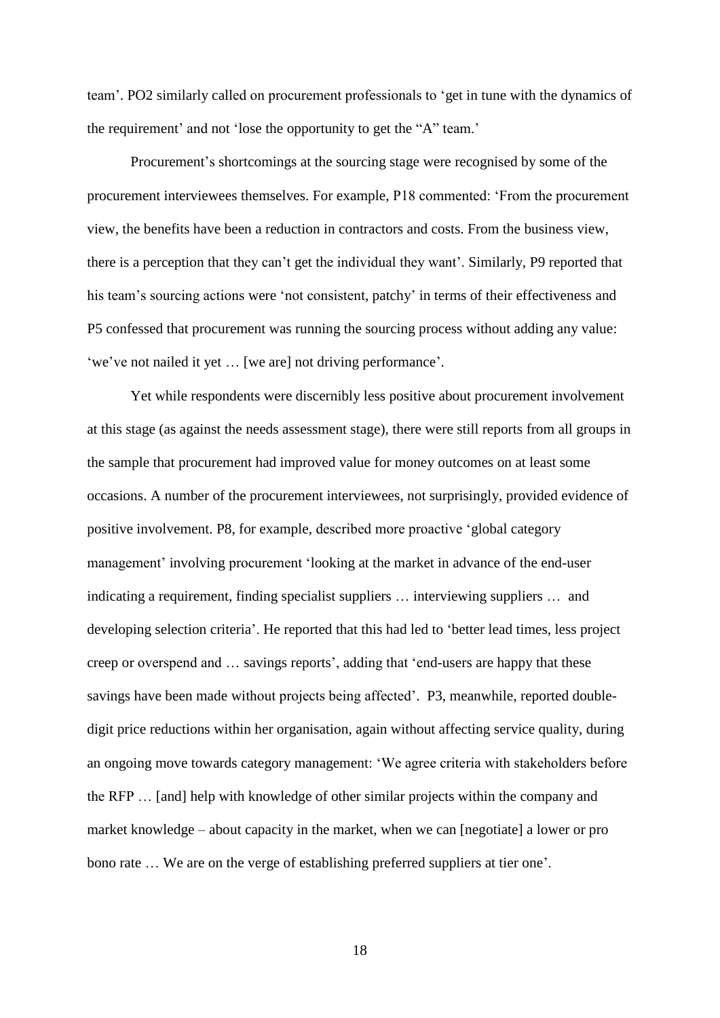team'. PO2 similarly called on procurement professionals to 'get in tune with the dynamics of the requirement' and not 'lose the opportunity to get the "A" team.'

Procurement's shortcomings at the sourcing stage were recognised by some of the procurement interviewees themselves. For example, P18 commented: 'From the procurement view, the benefits have been a reduction in contractors and costs. From the business view, there is a perception that they can't get the individual they want'. Similarly, P9 reported that his team's sourcing actions were 'not consistent, patchy' in terms of their effectiveness and P5 confessed that procurement was running the sourcing process without adding any value: 'we've not nailed it yet … [we are] not driving performance'.

Yet while respondents were discernibly less positive about procurement involvement at this stage (as against the needs assessment stage), there were still reports from all groups in the sample that procurement had improved value for money outcomes on at least some occasions. A number of the procurement interviewees, not surprisingly, provided evidence of positive involvement. P8, for example, described more proactive 'global category management' involving procurement 'looking at the market in advance of the end-user indicating a requirement, finding specialist suppliers … interviewing suppliers … and developing selection criteria'. He reported that this had led to 'better lead times, less project creep or overspend and … savings reports', adding that 'end-users are happy that these savings have been made without projects being affected'. P3, meanwhile, reported doubledigit price reductions within her organisation, again without affecting service quality, during an ongoing move towards category management: 'We agree criteria with stakeholders before the RFP … [and] help with knowledge of other similar projects within the company and market knowledge – about capacity in the market, when we can [negotiate] a lower or pro bono rate … We are on the verge of establishing preferred suppliers at tier one'.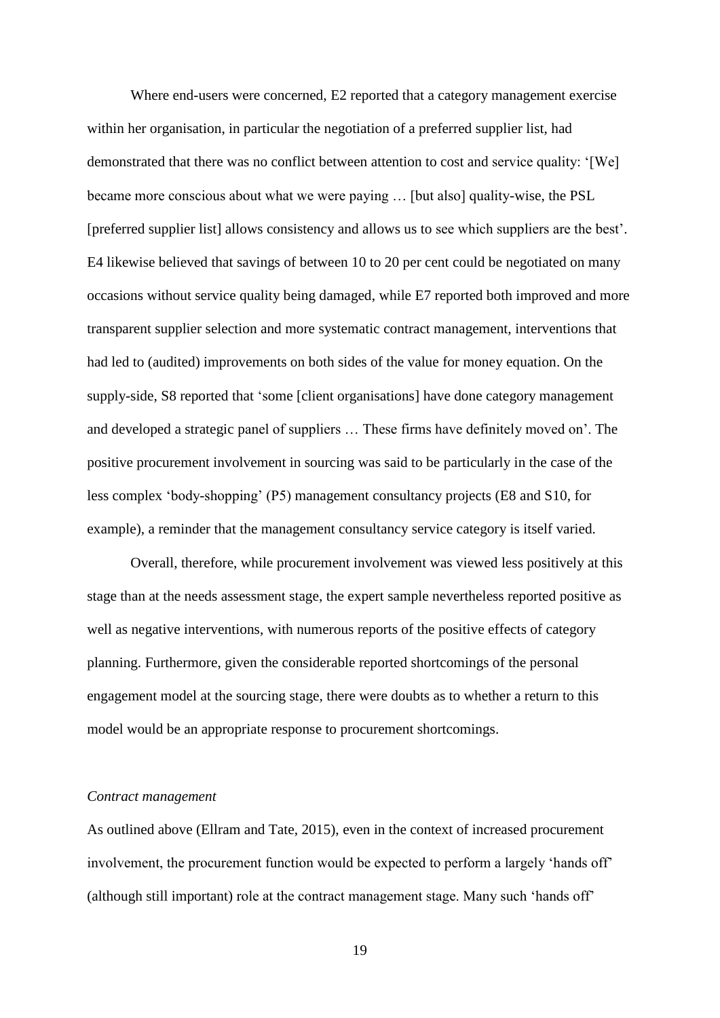Where end-users were concerned, E2 reported that a category management exercise within her organisation, in particular the negotiation of a preferred supplier list, had demonstrated that there was no conflict between attention to cost and service quality: '[We] became more conscious about what we were paying … [but also] quality-wise, the PSL [preferred supplier list] allows consistency and allows us to see which suppliers are the best'. E4 likewise believed that savings of between 10 to 20 per cent could be negotiated on many occasions without service quality being damaged, while E7 reported both improved and more transparent supplier selection and more systematic contract management, interventions that had led to (audited) improvements on both sides of the value for money equation. On the supply-side, S8 reported that 'some [client organisations] have done category management and developed a strategic panel of suppliers … These firms have definitely moved on'. The positive procurement involvement in sourcing was said to be particularly in the case of the less complex 'body-shopping' (P5) management consultancy projects (E8 and S10, for example), a reminder that the management consultancy service category is itself varied.

Overall, therefore, while procurement involvement was viewed less positively at this stage than at the needs assessment stage, the expert sample nevertheless reported positive as well as negative interventions, with numerous reports of the positive effects of category planning. Furthermore, given the considerable reported shortcomings of the personal engagement model at the sourcing stage, there were doubts as to whether a return to this model would be an appropriate response to procurement shortcomings.

#### *Contract management*

As outlined above (Ellram and Tate, 2015), even in the context of increased procurement involvement, the procurement function would be expected to perform a largely 'hands off' (although still important) role at the contract management stage. Many such 'hands off'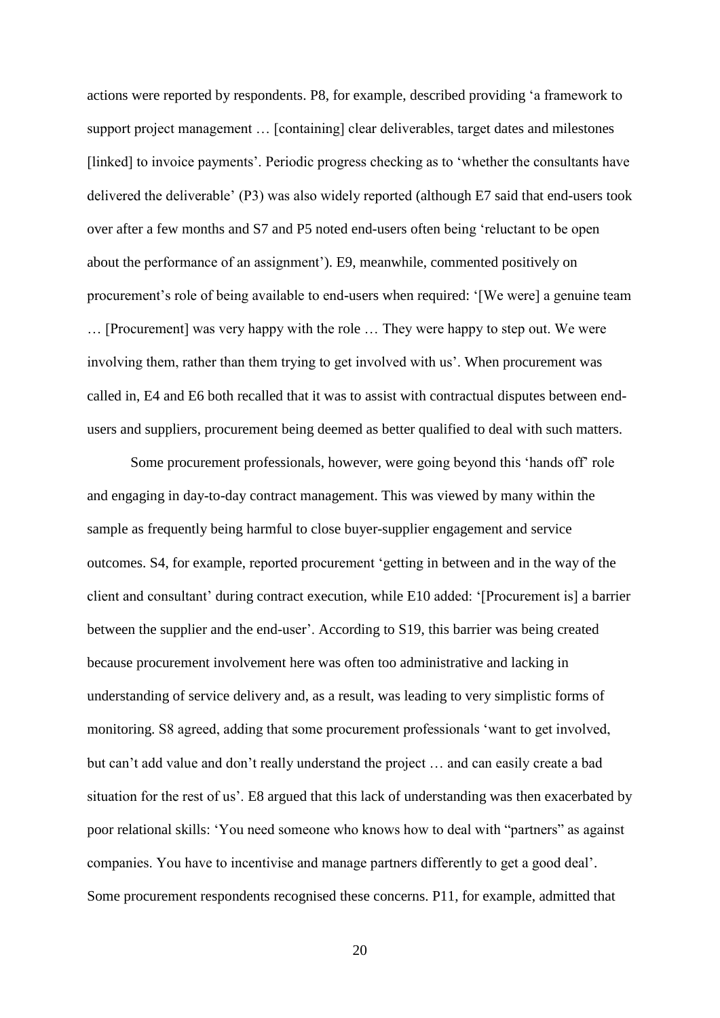actions were reported by respondents. P8, for example, described providing 'a framework to support project management … [containing] clear deliverables, target dates and milestones [linked] to invoice payments'. Periodic progress checking as to 'whether the consultants have delivered the deliverable' (P3) was also widely reported (although E7 said that end-users took over after a few months and S7 and P5 noted end-users often being 'reluctant to be open about the performance of an assignment'). E9, meanwhile, commented positively on procurement's role of being available to end-users when required: '[We were] a genuine team … [Procurement] was very happy with the role … They were happy to step out. We were involving them, rather than them trying to get involved with us'. When procurement was called in, E4 and E6 both recalled that it was to assist with contractual disputes between endusers and suppliers, procurement being deemed as better qualified to deal with such matters.

Some procurement professionals, however, were going beyond this 'hands off' role and engaging in day-to-day contract management. This was viewed by many within the sample as frequently being harmful to close buyer-supplier engagement and service outcomes. S4, for example, reported procurement 'getting in between and in the way of the client and consultant' during contract execution, while E10 added: '[Procurement is] a barrier between the supplier and the end-user'. According to S19, this barrier was being created because procurement involvement here was often too administrative and lacking in understanding of service delivery and, as a result, was leading to very simplistic forms of monitoring. S8 agreed, adding that some procurement professionals 'want to get involved, but can't add value and don't really understand the project … and can easily create a bad situation for the rest of us'. E8 argued that this lack of understanding was then exacerbated by poor relational skills: 'You need someone who knows how to deal with "partners" as against companies. You have to incentivise and manage partners differently to get a good deal'. Some procurement respondents recognised these concerns. P11, for example, admitted that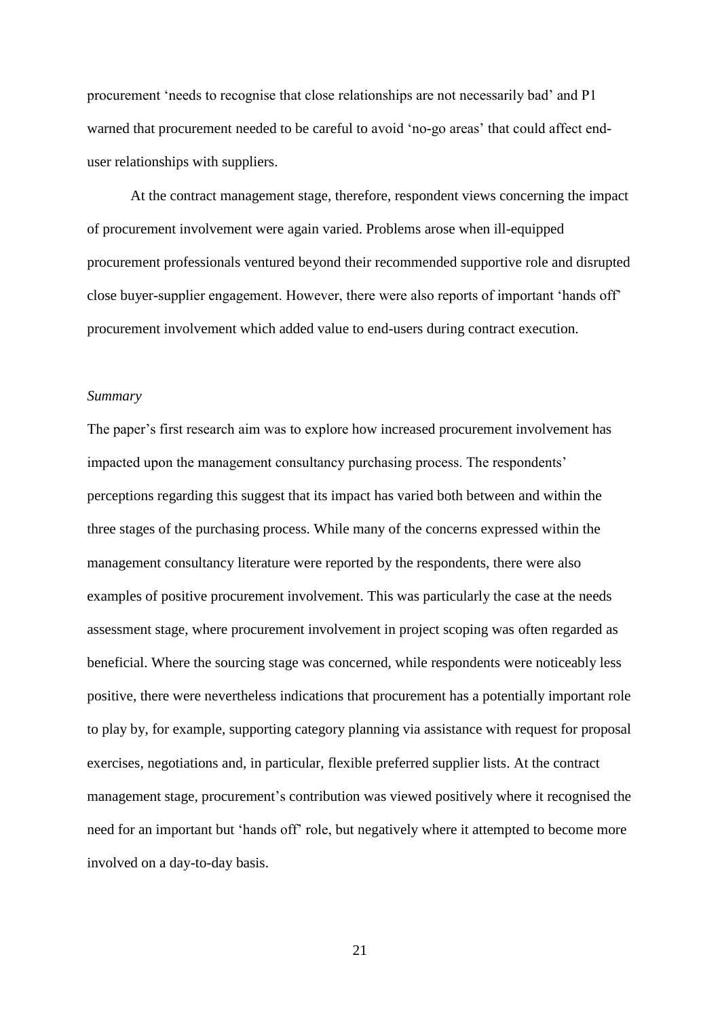procurement 'needs to recognise that close relationships are not necessarily bad' and P1 warned that procurement needed to be careful to avoid 'no-go areas' that could affect enduser relationships with suppliers.

At the contract management stage, therefore, respondent views concerning the impact of procurement involvement were again varied. Problems arose when ill-equipped procurement professionals ventured beyond their recommended supportive role and disrupted close buyer-supplier engagement. However, there were also reports of important 'hands off' procurement involvement which added value to end-users during contract execution.

#### *Summary*

The paper's first research aim was to explore how increased procurement involvement has impacted upon the management consultancy purchasing process. The respondents' perceptions regarding this suggest that its impact has varied both between and within the three stages of the purchasing process. While many of the concerns expressed within the management consultancy literature were reported by the respondents, there were also examples of positive procurement involvement. This was particularly the case at the needs assessment stage, where procurement involvement in project scoping was often regarded as beneficial. Where the sourcing stage was concerned, while respondents were noticeably less positive, there were nevertheless indications that procurement has a potentially important role to play by, for example, supporting category planning via assistance with request for proposal exercises, negotiations and, in particular, flexible preferred supplier lists. At the contract management stage, procurement's contribution was viewed positively where it recognised the need for an important but 'hands off' role, but negatively where it attempted to become more involved on a day-to-day basis.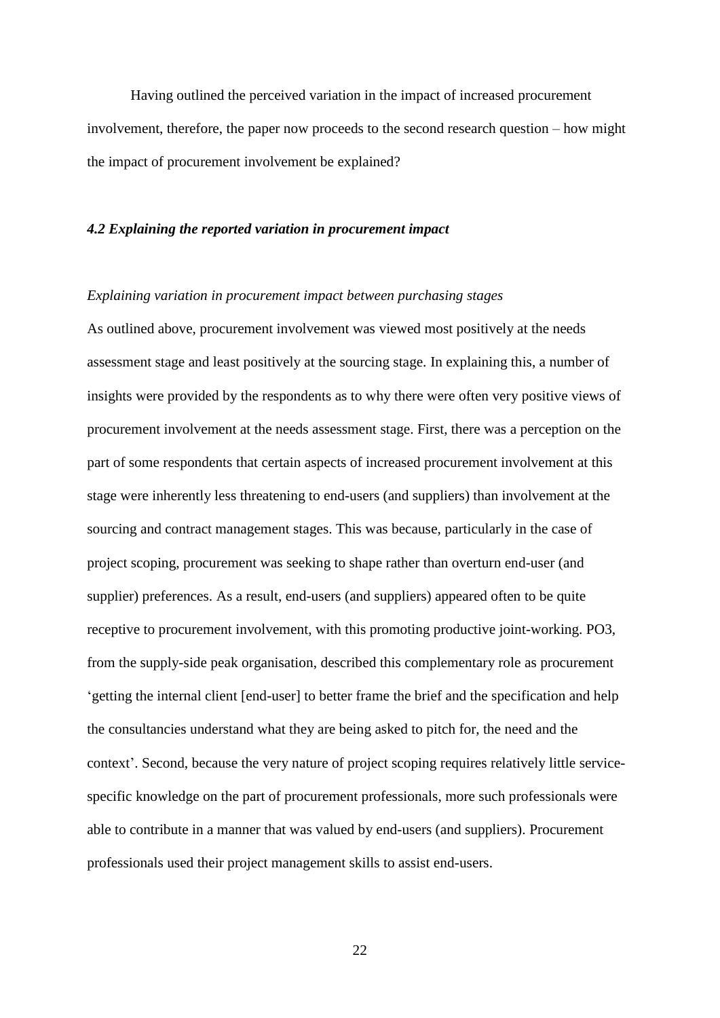Having outlined the perceived variation in the impact of increased procurement involvement, therefore, the paper now proceeds to the second research question – how might the impact of procurement involvement be explained?

#### *4.2 Explaining the reported variation in procurement impact*

#### *Explaining variation in procurement impact between purchasing stages*

As outlined above, procurement involvement was viewed most positively at the needs assessment stage and least positively at the sourcing stage. In explaining this, a number of insights were provided by the respondents as to why there were often very positive views of procurement involvement at the needs assessment stage. First, there was a perception on the part of some respondents that certain aspects of increased procurement involvement at this stage were inherently less threatening to end-users (and suppliers) than involvement at the sourcing and contract management stages. This was because, particularly in the case of project scoping, procurement was seeking to shape rather than overturn end-user (and supplier) preferences. As a result, end-users (and suppliers) appeared often to be quite receptive to procurement involvement, with this promoting productive joint-working. PO3, from the supply-side peak organisation, described this complementary role as procurement 'getting the internal client [end-user] to better frame the brief and the specification and help the consultancies understand what they are being asked to pitch for, the need and the context'. Second, because the very nature of project scoping requires relatively little servicespecific knowledge on the part of procurement professionals, more such professionals were able to contribute in a manner that was valued by end-users (and suppliers). Procurement professionals used their project management skills to assist end-users.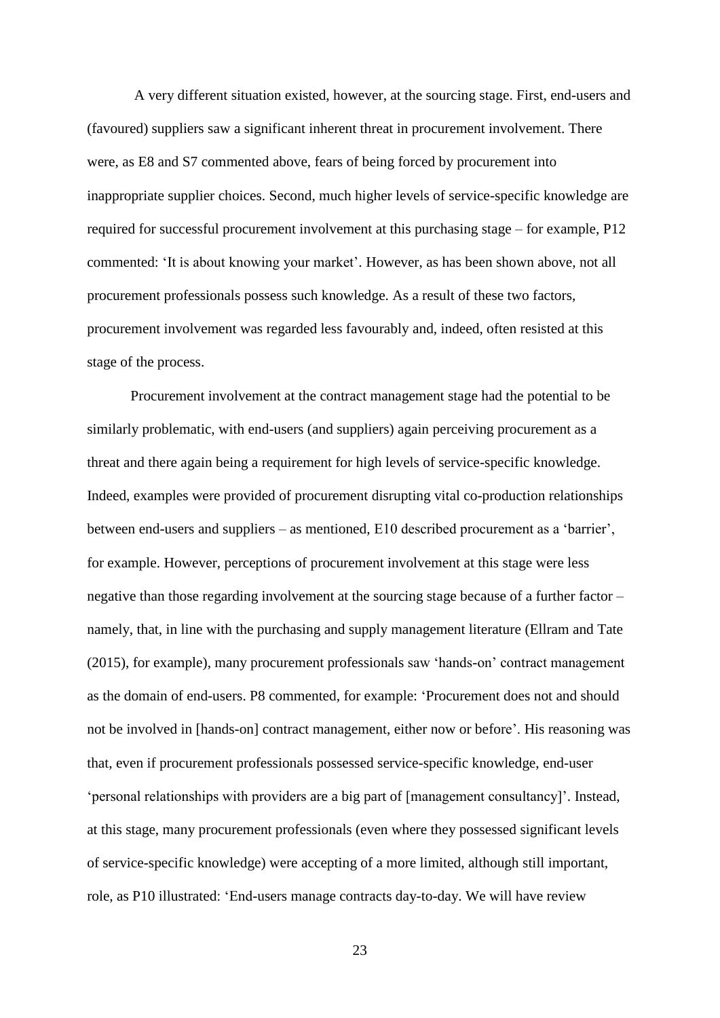A very different situation existed, however, at the sourcing stage. First, end-users and (favoured) suppliers saw a significant inherent threat in procurement involvement. There were, as E8 and S7 commented above, fears of being forced by procurement into inappropriate supplier choices. Second, much higher levels of service-specific knowledge are required for successful procurement involvement at this purchasing stage – for example, P12 commented: 'It is about knowing your market'. However, as has been shown above, not all procurement professionals possess such knowledge. As a result of these two factors, procurement involvement was regarded less favourably and, indeed, often resisted at this stage of the process.

 Procurement involvement at the contract management stage had the potential to be similarly problematic, with end-users (and suppliers) again perceiving procurement as a threat and there again being a requirement for high levels of service-specific knowledge. Indeed, examples were provided of procurement disrupting vital co-production relationships between end-users and suppliers – as mentioned, E10 described procurement as a 'barrier', for example. However, perceptions of procurement involvement at this stage were less negative than those regarding involvement at the sourcing stage because of a further factor – namely, that, in line with the purchasing and supply management literature (Ellram and Tate (2015), for example), many procurement professionals saw 'hands-on' contract management as the domain of end-users. P8 commented, for example: 'Procurement does not and should not be involved in [hands-on] contract management, either now or before'. His reasoning was that, even if procurement professionals possessed service-specific knowledge, end-user 'personal relationships with providers are a big part of [management consultancy]'. Instead, at this stage, many procurement professionals (even where they possessed significant levels of service-specific knowledge) were accepting of a more limited, although still important, role, as P10 illustrated: 'End-users manage contracts day-to-day. We will have review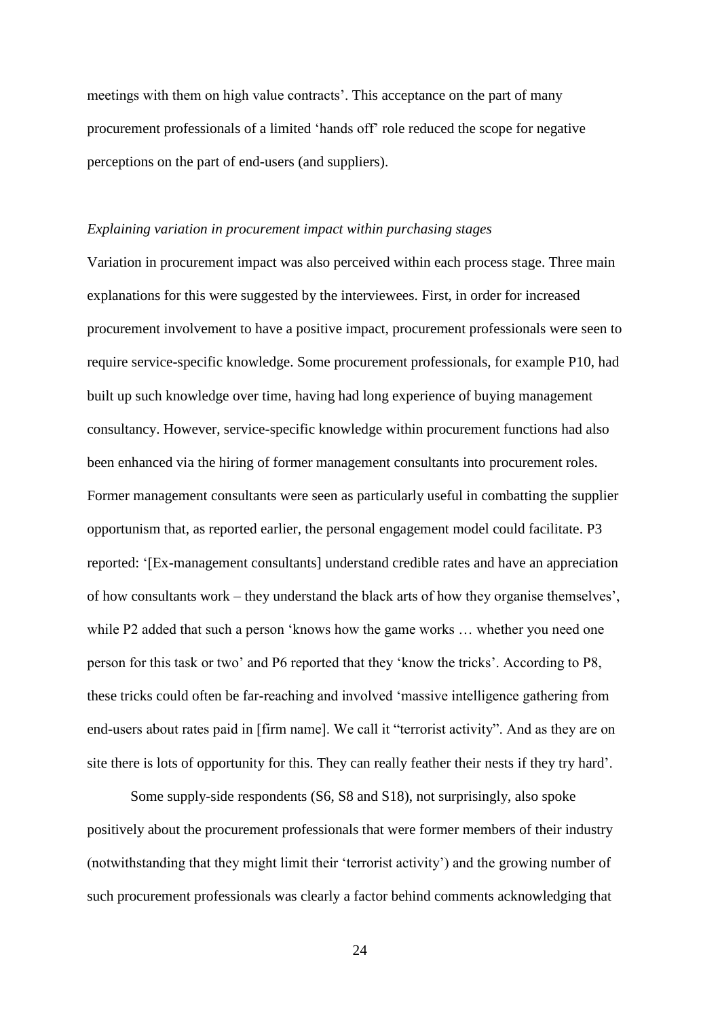meetings with them on high value contracts'. This acceptance on the part of many procurement professionals of a limited 'hands off' role reduced the scope for negative perceptions on the part of end-users (and suppliers).

#### *Explaining variation in procurement impact within purchasing stages*

Variation in procurement impact was also perceived within each process stage. Three main explanations for this were suggested by the interviewees. First, in order for increased procurement involvement to have a positive impact, procurement professionals were seen to require service-specific knowledge. Some procurement professionals, for example P10, had built up such knowledge over time, having had long experience of buying management consultancy. However, service-specific knowledge within procurement functions had also been enhanced via the hiring of former management consultants into procurement roles. Former management consultants were seen as particularly useful in combatting the supplier opportunism that, as reported earlier, the personal engagement model could facilitate. P3 reported: '[Ex-management consultants] understand credible rates and have an appreciation of how consultants work – they understand the black arts of how they organise themselves', while P2 added that such a person 'knows how the game works ... whether you need one person for this task or two' and P6 reported that they 'know the tricks'. According to P8, these tricks could often be far-reaching and involved 'massive intelligence gathering from end-users about rates paid in [firm name]. We call it "terrorist activity". And as they are on site there is lots of opportunity for this. They can really feather their nests if they try hard'.

Some supply-side respondents (S6, S8 and S18), not surprisingly, also spoke positively about the procurement professionals that were former members of their industry (notwithstanding that they might limit their 'terrorist activity') and the growing number of such procurement professionals was clearly a factor behind comments acknowledging that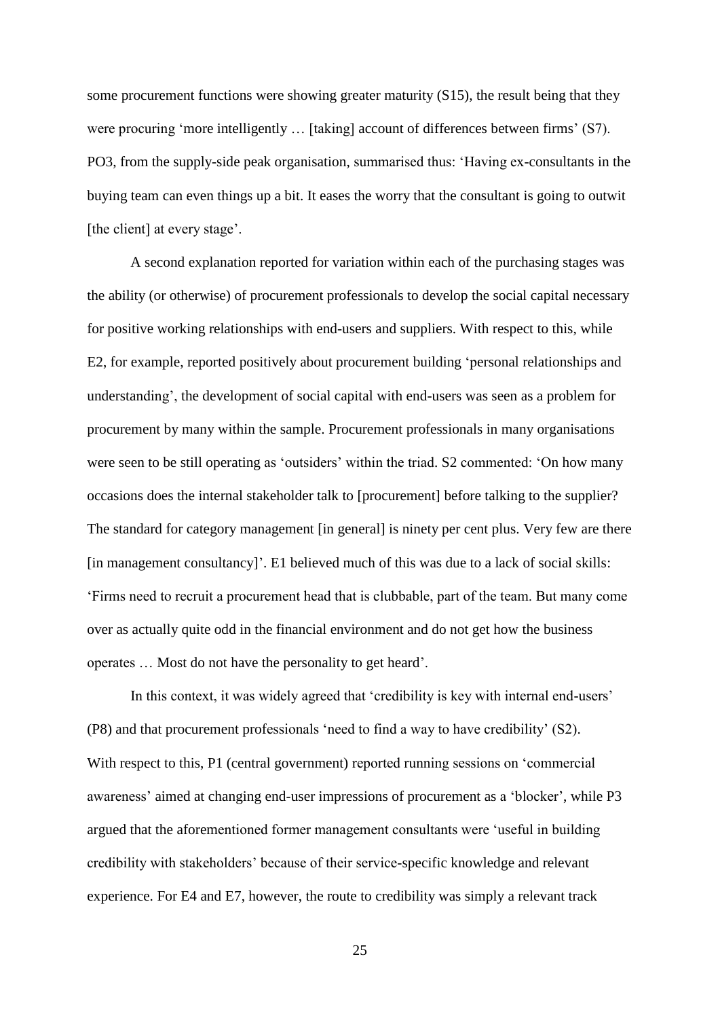some procurement functions were showing greater maturity (S15), the result being that they were procuring 'more intelligently … [taking] account of differences between firms' (S7). PO3, from the supply-side peak organisation, summarised thus: 'Having ex-consultants in the buying team can even things up a bit. It eases the worry that the consultant is going to outwit [the client] at every stage'.

A second explanation reported for variation within each of the purchasing stages was the ability (or otherwise) of procurement professionals to develop the social capital necessary for positive working relationships with end-users and suppliers. With respect to this, while E2, for example, reported positively about procurement building 'personal relationships and understanding', the development of social capital with end-users was seen as a problem for procurement by many within the sample. Procurement professionals in many organisations were seen to be still operating as 'outsiders' within the triad. S2 commented: 'On how many occasions does the internal stakeholder talk to [procurement] before talking to the supplier? The standard for category management [in general] is ninety per cent plus. Very few are there [in management consultancy]'. E1 believed much of this was due to a lack of social skills: 'Firms need to recruit a procurement head that is clubbable, part of the team. But many come over as actually quite odd in the financial environment and do not get how the business operates … Most do not have the personality to get heard'.

In this context, it was widely agreed that 'credibility is key with internal end-users' (P8) and that procurement professionals 'need to find a way to have credibility' (S2). With respect to this, P1 (central government) reported running sessions on 'commercial awareness' aimed at changing end-user impressions of procurement as a 'blocker', while P3 argued that the aforementioned former management consultants were 'useful in building credibility with stakeholders' because of their service-specific knowledge and relevant experience. For E4 and E7, however, the route to credibility was simply a relevant track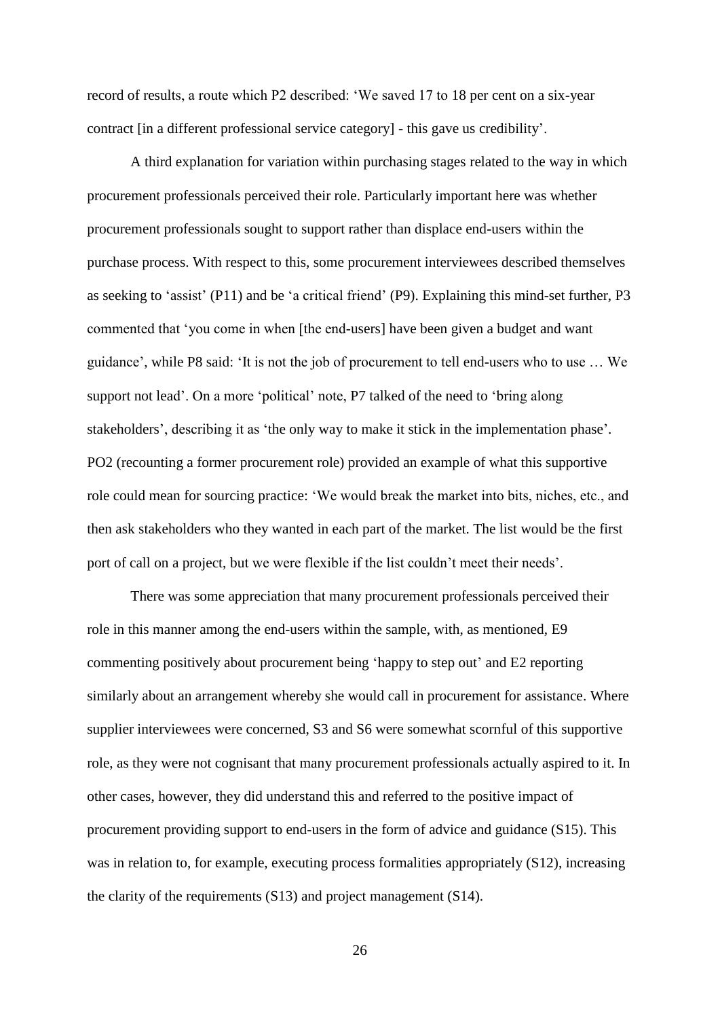record of results, a route which P2 described: 'We saved 17 to 18 per cent on a six-year contract [in a different professional service category] - this gave us credibility'.

A third explanation for variation within purchasing stages related to the way in which procurement professionals perceived their role. Particularly important here was whether procurement professionals sought to support rather than displace end-users within the purchase process. With respect to this, some procurement interviewees described themselves as seeking to 'assist' (P11) and be 'a critical friend' (P9). Explaining this mind-set further, P3 commented that 'you come in when [the end-users] have been given a budget and want guidance', while P8 said: 'It is not the job of procurement to tell end-users who to use … We support not lead'. On a more 'political' note, P7 talked of the need to 'bring along stakeholders', describing it as 'the only way to make it stick in the implementation phase'. PO2 (recounting a former procurement role) provided an example of what this supportive role could mean for sourcing practice: 'We would break the market into bits, niches, etc., and then ask stakeholders who they wanted in each part of the market. The list would be the first port of call on a project, but we were flexible if the list couldn't meet their needs'.

There was some appreciation that many procurement professionals perceived their role in this manner among the end-users within the sample, with, as mentioned, E9 commenting positively about procurement being 'happy to step out' and E2 reporting similarly about an arrangement whereby she would call in procurement for assistance. Where supplier interviewees were concerned, S3 and S6 were somewhat scornful of this supportive role, as they were not cognisant that many procurement professionals actually aspired to it. In other cases, however, they did understand this and referred to the positive impact of procurement providing support to end-users in the form of advice and guidance (S15). This was in relation to, for example, executing process formalities appropriately (S12), increasing the clarity of the requirements (S13) and project management (S14).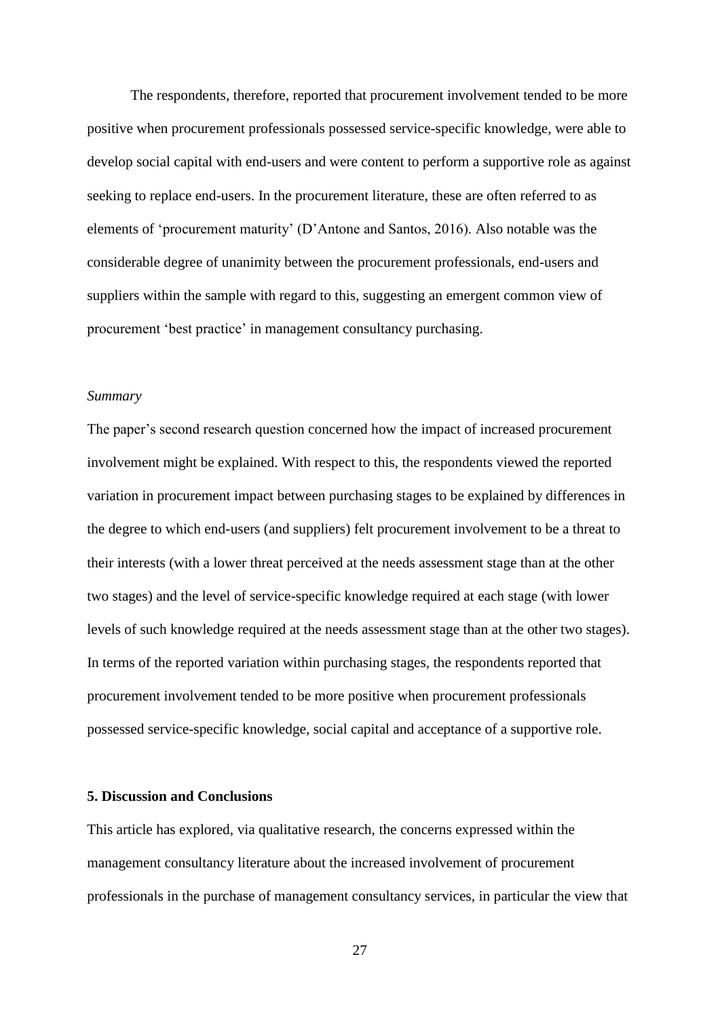The respondents, therefore, reported that procurement involvement tended to be more positive when procurement professionals possessed service-specific knowledge, were able to develop social capital with end-users and were content to perform a supportive role as against seeking to replace end-users. In the procurement literature, these are often referred to as elements of 'procurement maturity' (D'Antone and Santos, 2016). Also notable was the considerable degree of unanimity between the procurement professionals, end-users and suppliers within the sample with regard to this, suggesting an emergent common view of procurement 'best practice' in management consultancy purchasing.

#### *Summary*

The paper's second research question concerned how the impact of increased procurement involvement might be explained. With respect to this, the respondents viewed the reported variation in procurement impact between purchasing stages to be explained by differences in the degree to which end-users (and suppliers) felt procurement involvement to be a threat to their interests (with a lower threat perceived at the needs assessment stage than at the other two stages) and the level of service-specific knowledge required at each stage (with lower levels of such knowledge required at the needs assessment stage than at the other two stages). In terms of the reported variation within purchasing stages, the respondents reported that procurement involvement tended to be more positive when procurement professionals possessed service-specific knowledge, social capital and acceptance of a supportive role.

#### **5. Discussion and Conclusions**

This article has explored, via qualitative research, the concerns expressed within the management consultancy literature about the increased involvement of procurement professionals in the purchase of management consultancy services, in particular the view that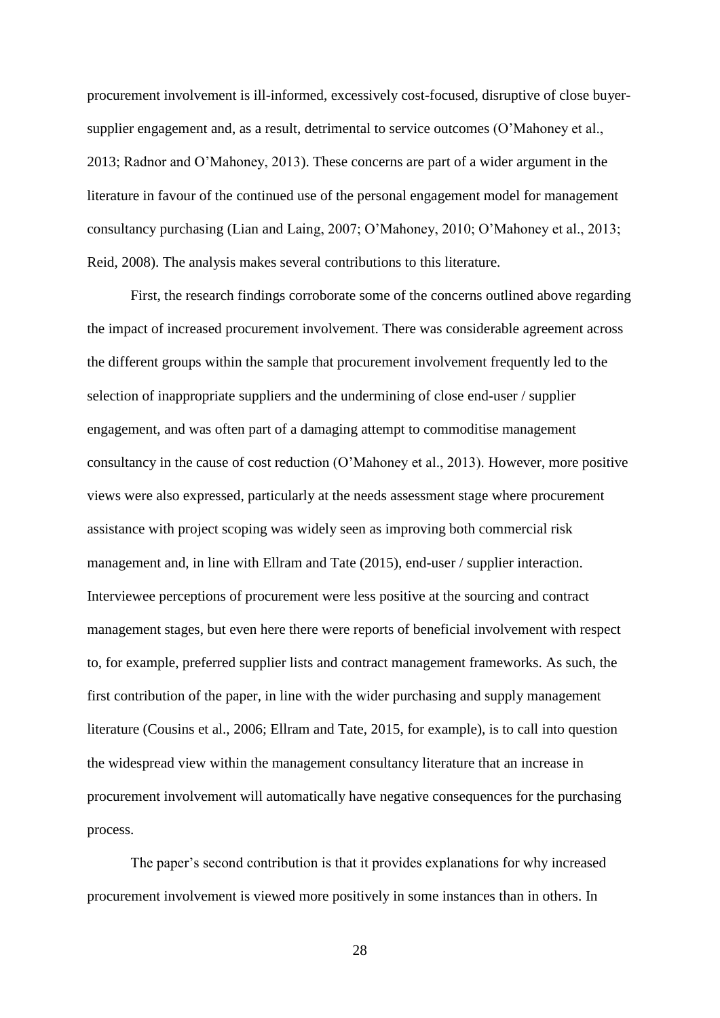procurement involvement is ill-informed, excessively cost-focused, disruptive of close buyersupplier engagement and, as a result, detrimental to service outcomes (O'Mahoney et al., 2013; Radnor and O'Mahoney, 2013). These concerns are part of a wider argument in the literature in favour of the continued use of the personal engagement model for management consultancy purchasing (Lian and Laing, 2007; O'Mahoney, 2010; O'Mahoney et al., 2013; Reid, 2008). The analysis makes several contributions to this literature.

First, the research findings corroborate some of the concerns outlined above regarding the impact of increased procurement involvement. There was considerable agreement across the different groups within the sample that procurement involvement frequently led to the selection of inappropriate suppliers and the undermining of close end-user / supplier engagement, and was often part of a damaging attempt to commoditise management consultancy in the cause of cost reduction (O'Mahoney et al., 2013). However, more positive views were also expressed, particularly at the needs assessment stage where procurement assistance with project scoping was widely seen as improving both commercial risk management and, in line with Ellram and Tate (2015), end-user / supplier interaction. Interviewee perceptions of procurement were less positive at the sourcing and contract management stages, but even here there were reports of beneficial involvement with respect to, for example, preferred supplier lists and contract management frameworks. As such, the first contribution of the paper, in line with the wider purchasing and supply management literature (Cousins et al., 2006; Ellram and Tate, 2015, for example), is to call into question the widespread view within the management consultancy literature that an increase in procurement involvement will automatically have negative consequences for the purchasing process.

The paper's second contribution is that it provides explanations for why increased procurement involvement is viewed more positively in some instances than in others. In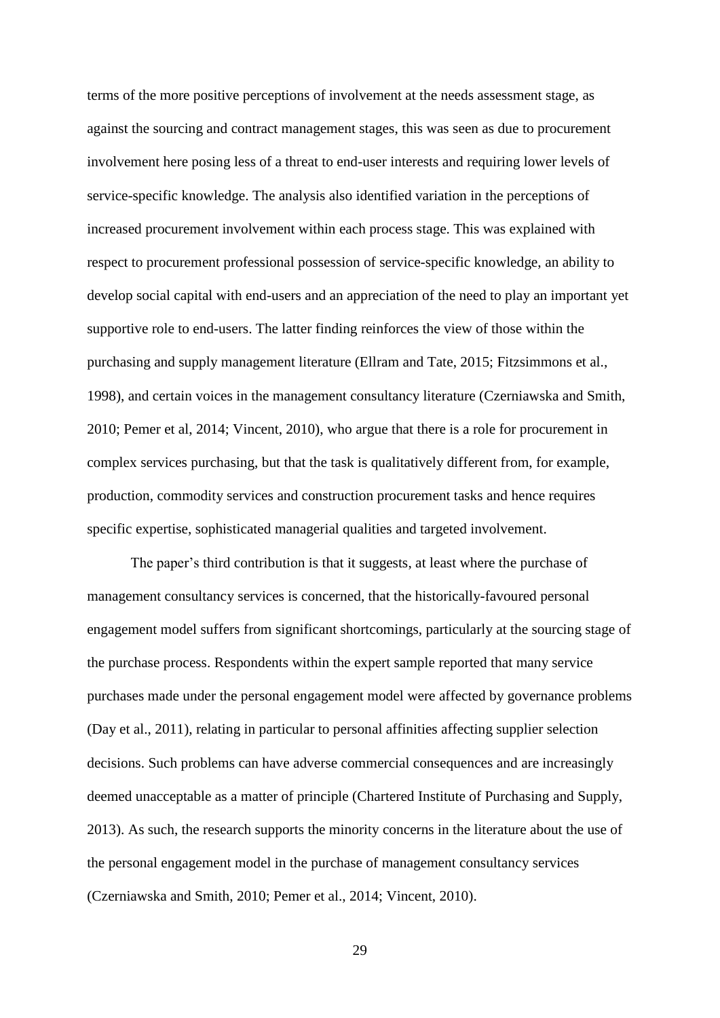terms of the more positive perceptions of involvement at the needs assessment stage, as against the sourcing and contract management stages, this was seen as due to procurement involvement here posing less of a threat to end-user interests and requiring lower levels of service-specific knowledge. The analysis also identified variation in the perceptions of increased procurement involvement within each process stage. This was explained with respect to procurement professional possession of service-specific knowledge, an ability to develop social capital with end-users and an appreciation of the need to play an important yet supportive role to end-users. The latter finding reinforces the view of those within the purchasing and supply management literature (Ellram and Tate, 2015; Fitzsimmons et al., 1998), and certain voices in the management consultancy literature (Czerniawska and Smith, 2010; Pemer et al, 2014; Vincent, 2010), who argue that there is a role for procurement in complex services purchasing, but that the task is qualitatively different from, for example, production, commodity services and construction procurement tasks and hence requires specific expertise, sophisticated managerial qualities and targeted involvement.

The paper's third contribution is that it suggests, at least where the purchase of management consultancy services is concerned, that the historically-favoured personal engagement model suffers from significant shortcomings, particularly at the sourcing stage of the purchase process. Respondents within the expert sample reported that many service purchases made under the personal engagement model were affected by governance problems (Day et al., 2011), relating in particular to personal affinities affecting supplier selection decisions. Such problems can have adverse commercial consequences and are increasingly deemed unacceptable as a matter of principle (Chartered Institute of Purchasing and Supply, 2013). As such, the research supports the minority concerns in the literature about the use of the personal engagement model in the purchase of management consultancy services (Czerniawska and Smith, 2010; Pemer et al., 2014; Vincent, 2010).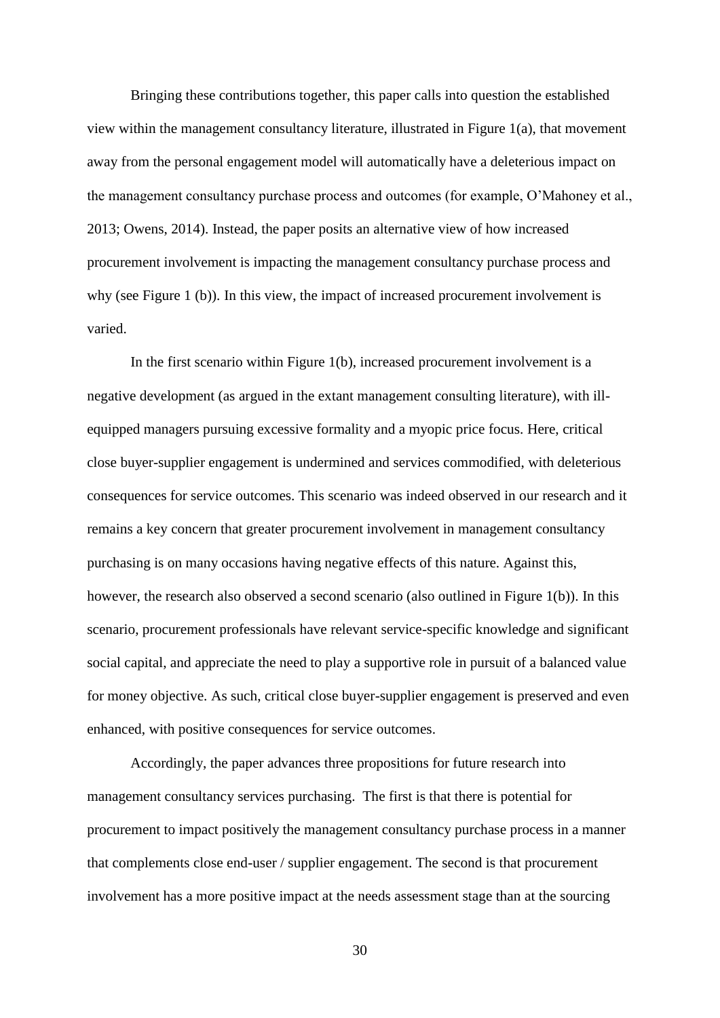Bringing these contributions together, this paper calls into question the established view within the management consultancy literature, illustrated in Figure 1(a), that movement away from the personal engagement model will automatically have a deleterious impact on the management consultancy purchase process and outcomes (for example, O'Mahoney et al., 2013; Owens, 2014). Instead, the paper posits an alternative view of how increased procurement involvement is impacting the management consultancy purchase process and why (see Figure 1 (b)). In this view, the impact of increased procurement involvement is varied.

In the first scenario within Figure  $1(b)$ , increased procurement involvement is a negative development (as argued in the extant management consulting literature), with illequipped managers pursuing excessive formality and a myopic price focus. Here, critical close buyer-supplier engagement is undermined and services commodified, with deleterious consequences for service outcomes. This scenario was indeed observed in our research and it remains a key concern that greater procurement involvement in management consultancy purchasing is on many occasions having negative effects of this nature. Against this, however, the research also observed a second scenario (also outlined in Figure 1(b)). In this scenario, procurement professionals have relevant service-specific knowledge and significant social capital, and appreciate the need to play a supportive role in pursuit of a balanced value for money objective. As such, critical close buyer-supplier engagement is preserved and even enhanced, with positive consequences for service outcomes.

Accordingly, the paper advances three propositions for future research into management consultancy services purchasing. The first is that there is potential for procurement to impact positively the management consultancy purchase process in a manner that complements close end-user / supplier engagement. The second is that procurement involvement has a more positive impact at the needs assessment stage than at the sourcing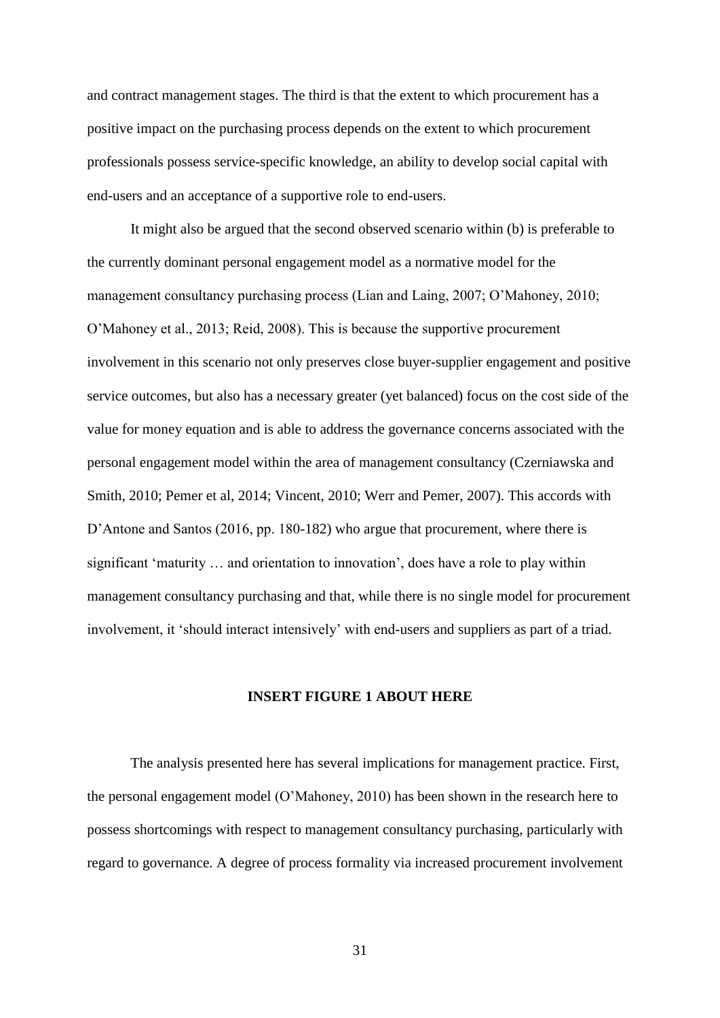and contract management stages. The third is that the extent to which procurement has a positive impact on the purchasing process depends on the extent to which procurement professionals possess service-specific knowledge, an ability to develop social capital with end-users and an acceptance of a supportive role to end-users.

It might also be argued that the second observed scenario within (b) is preferable to the currently dominant personal engagement model as a normative model for the management consultancy purchasing process (Lian and Laing, 2007; O'Mahoney, 2010; O'Mahoney et al., 2013; Reid, 2008). This is because the supportive procurement involvement in this scenario not only preserves close buyer-supplier engagement and positive service outcomes, but also has a necessary greater (yet balanced) focus on the cost side of the value for money equation and is able to address the governance concerns associated with the personal engagement model within the area of management consultancy (Czerniawska and Smith, 2010; Pemer et al, 2014; Vincent, 2010; Werr and Pemer, 2007). This accords with D'Antone and Santos (2016, pp. 180-182) who argue that procurement, where there is significant 'maturity … and orientation to innovation', does have a role to play within management consultancy purchasing and that, while there is no single model for procurement involvement, it 'should interact intensively' with end-users and suppliers as part of a triad.

#### **INSERT FIGURE 1 ABOUT HERE**

The analysis presented here has several implications for management practice. First, the personal engagement model (O'Mahoney, 2010) has been shown in the research here to possess shortcomings with respect to management consultancy purchasing, particularly with regard to governance. A degree of process formality via increased procurement involvement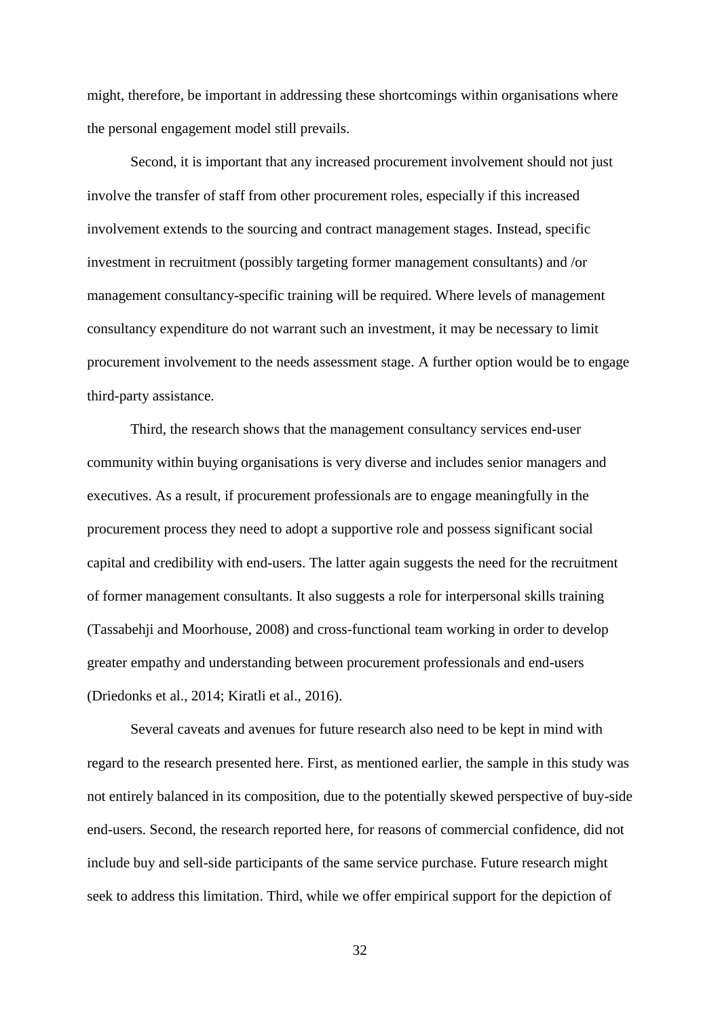might, therefore, be important in addressing these shortcomings within organisations where the personal engagement model still prevails.

Second, it is important that any increased procurement involvement should not just involve the transfer of staff from other procurement roles, especially if this increased involvement extends to the sourcing and contract management stages. Instead, specific investment in recruitment (possibly targeting former management consultants) and /or management consultancy-specific training will be required. Where levels of management consultancy expenditure do not warrant such an investment, it may be necessary to limit procurement involvement to the needs assessment stage. A further option would be to engage third-party assistance.

Third, the research shows that the management consultancy services end-user community within buying organisations is very diverse and includes senior managers and executives. As a result, if procurement professionals are to engage meaningfully in the procurement process they need to adopt a supportive role and possess significant social capital and credibility with end-users. The latter again suggests the need for the recruitment of former management consultants. It also suggests a role for interpersonal skills training (Tassabehji and Moorhouse, 2008) and cross-functional team working in order to develop greater empathy and understanding between procurement professionals and end-users (Driedonks et al., 2014; Kiratli et al., 2016).

Several caveats and avenues for future research also need to be kept in mind with regard to the research presented here. First, as mentioned earlier, the sample in this study was not entirely balanced in its composition, due to the potentially skewed perspective of buy-side end-users. Second, the research reported here, for reasons of commercial confidence, did not include buy and sell-side participants of the same service purchase. Future research might seek to address this limitation. Third, while we offer empirical support for the depiction of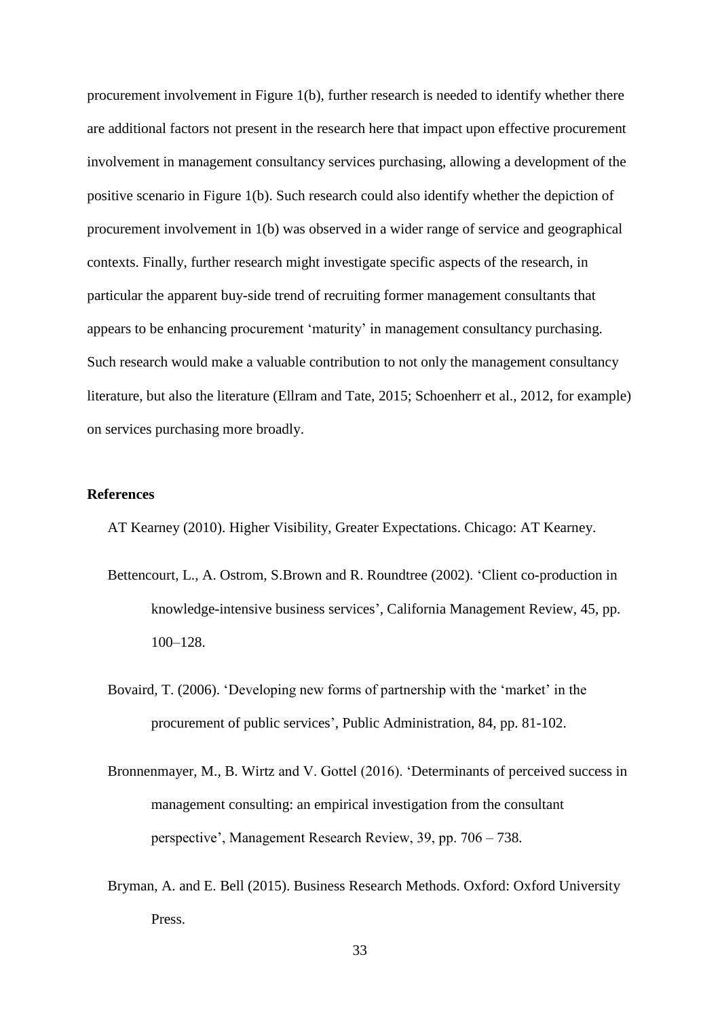procurement involvement in Figure 1(b), further research is needed to identify whether there are additional factors not present in the research here that impact upon effective procurement involvement in management consultancy services purchasing, allowing a development of the positive scenario in Figure 1(b). Such research could also identify whether the depiction of procurement involvement in 1(b) was observed in a wider range of service and geographical contexts. Finally, further research might investigate specific aspects of the research, in particular the apparent buy-side trend of recruiting former management consultants that appears to be enhancing procurement 'maturity' in management consultancy purchasing. Such research would make a valuable contribution to not only the management consultancy literature, but also the literature (Ellram and Tate, 2015; Schoenherr et al., 2012, for example) on services purchasing more broadly.

#### **References**

AT Kearney (2010). Higher Visibility, Greater Expectations. Chicago: AT Kearney.

- Bettencourt, L., A. Ostrom, S.Brown and R. Roundtree (2002). 'Client co-production in knowledge-intensive business services', California Management Review, 45, pp. 100–128.
- Bovaird, T. (2006). 'Developing new forms of partnership with the 'market' in the procurement of public services', Public Administration, 84, pp. 81-102.
- Bronnenmayer, M., B. Wirtz and V. Gottel (2016). 'Determinants of perceived success in management consulting: an empirical investigation from the consultant perspective', Management Research Review, 39, pp. 706 – 738.
- Bryman, A. and E. Bell (2015). Business Research Methods. Oxford: Oxford University Press.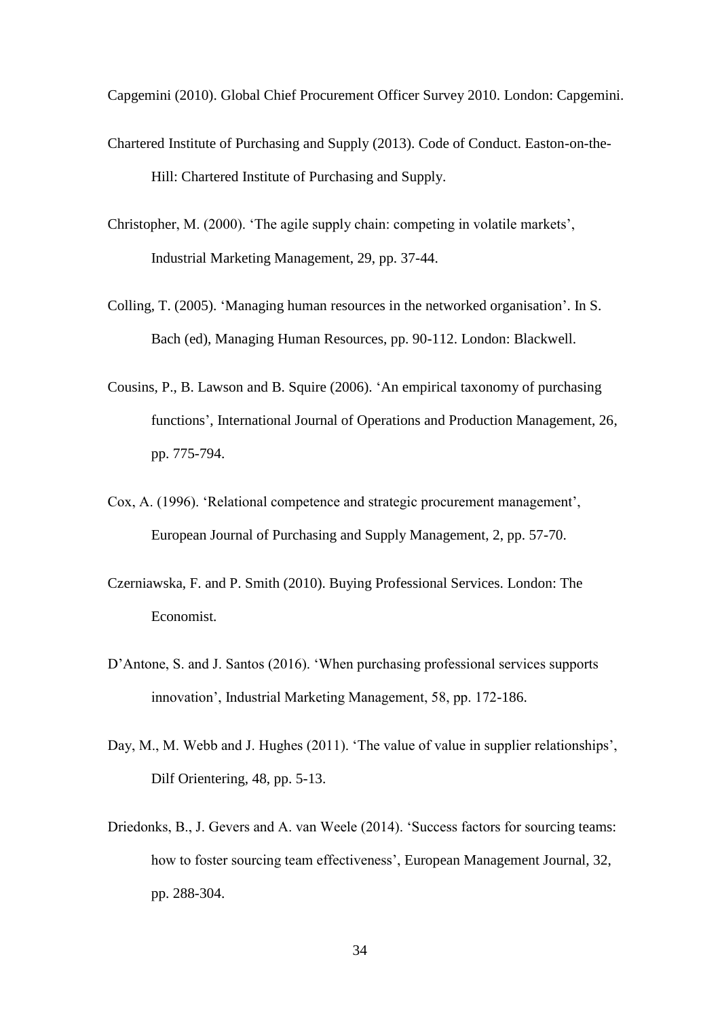Capgemini (2010). Global Chief Procurement Officer Survey 2010. London: Capgemini.

- Chartered Institute of Purchasing and Supply (2013). Code of Conduct. Easton-on-the-Hill: Chartered Institute of Purchasing and Supply.
- Christopher, M. (2000). 'The agile supply chain: competing in volatile markets', Industrial Marketing Management, 29, pp. 37-44.
- Colling, T. (2005). 'Managing human resources in the networked organisation'. In S. Bach (ed), Managing Human Resources, pp. 90-112. London: Blackwell.
- Cousins, P., B. Lawson and B. Squire (2006). 'An empirical taxonomy of purchasing functions', International Journal of Operations and Production Management, 26, pp. 775-794.
- Cox, A. (1996). 'Relational competence and strategic procurement management', European Journal of Purchasing and Supply Management, 2, pp. 57-70.
- Czerniawska, F. and P. Smith (2010). Buying Professional Services. London: The Economist.
- D'Antone, S. and J. Santos (2016). 'When purchasing professional services supports innovation', Industrial Marketing Management, 58, pp. 172-186.
- Day, M., M. Webb and J. Hughes (2011). 'The value of value in supplier relationships', Dilf Orientering, 48, pp. 5-13.
- Driedonks, B., J. Gevers and A. van Weele (2014). 'Success factors for sourcing teams: how to foster sourcing team effectiveness', European Management Journal, 32, pp. 288-304.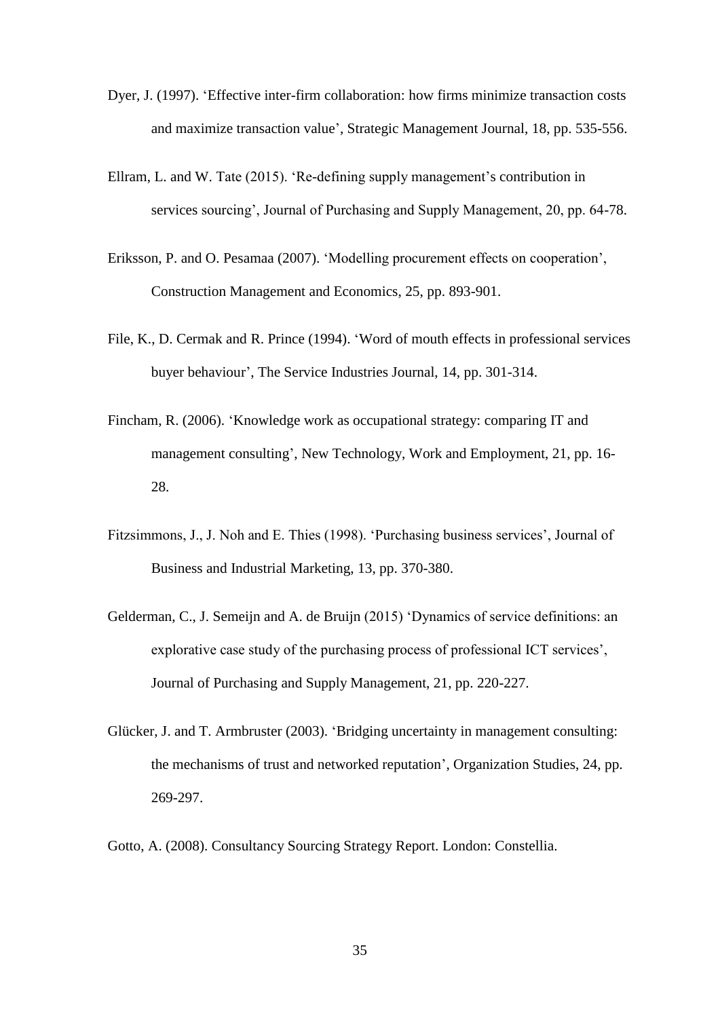- Dyer, J. (1997). 'Effective inter-firm collaboration: how firms minimize transaction costs and maximize transaction value', Strategic Management Journal, 18, pp. 535-556.
- Ellram, L. and W. Tate (2015). 'Re-defining supply management's contribution in services sourcing', Journal of Purchasing and Supply Management, 20, pp. 64-78.
- Eriksson, P. and O. Pesamaa (2007). 'Modelling procurement effects on cooperation', Construction Management and Economics, 25, pp. 893-901.
- File, K., D. Cermak and R. Prince (1994). 'Word of mouth effects in professional services buyer behaviour', The Service Industries Journal, 14, pp. 301-314.
- Fincham, R. (2006). 'Knowledge work as occupational strategy: comparing IT and management consulting', New Technology, Work and Employment, 21, pp. 16- 28.
- Fitzsimmons, J., J. Noh and E. Thies (1998). 'Purchasing business services', Journal of Business and Industrial Marketing, 13, pp. 370-380.
- Gelderman, C., J. Semeijn and A. de Bruijn (2015) 'Dynamics of service definitions: an explorative case study of the purchasing process of professional ICT services', Journal of Purchasing and Supply Management, 21, pp. 220-227.
- Glücker, J. and T. Armbruster (2003). 'Bridging uncertainty in management consulting: the mechanisms of trust and networked reputation', Organization Studies, 24, pp. 269-297.
- Gotto, A. (2008). Consultancy Sourcing Strategy Report. London: Constellia.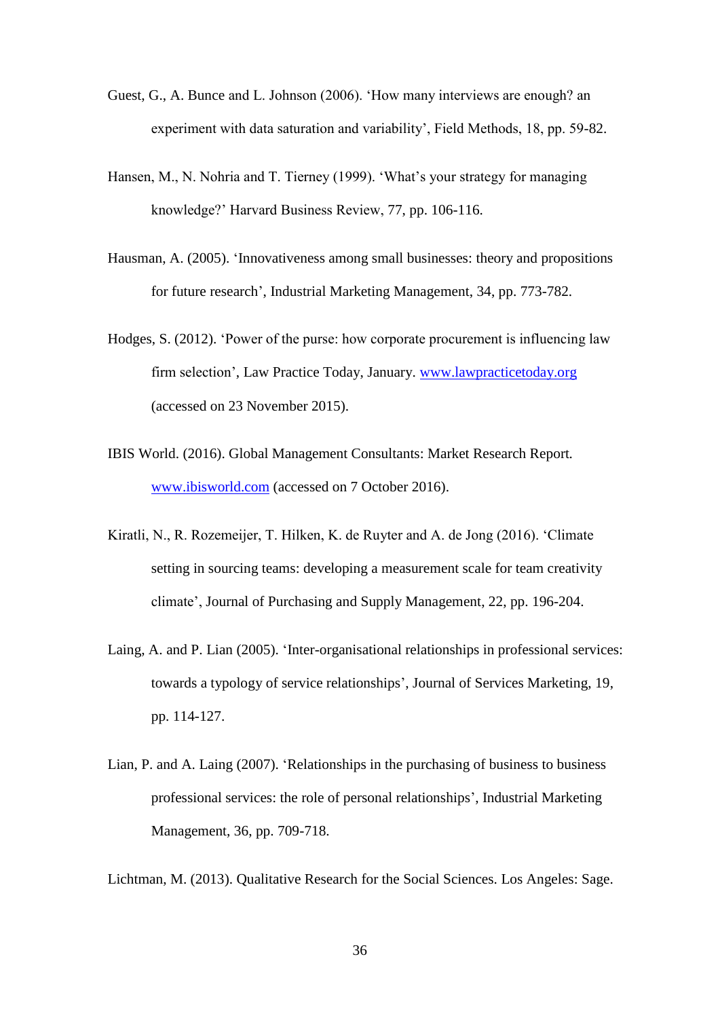- Guest, G., A. Bunce and L. Johnson (2006). 'How many interviews are enough? an experiment with data saturation and variability', Field Methods, 18, pp. 59-82.
- Hansen, M., N. Nohria and T. Tierney (1999). 'What's your strategy for managing knowledge?' Harvard Business Review, 77, pp. 106-116.
- Hausman, A. (2005). 'Innovativeness among small businesses: theory and propositions for future research', Industrial Marketing Management, 34, pp. 773-782.
- Hodges, S. (2012). 'Power of the purse: how corporate procurement is influencing law firm selection', Law Practice Today, January. [www.lawpracticetoday.org](http://www.lawpracticetoday.org/) (accessed on 23 November 2015).
- IBIS World. (2016). Global Management Consultants: Market Research Report*.* [www.ibisworld.com](http://www.ibisworld.com/) (accessed on 7 October 2016).
- Kiratli, N., R. Rozemeijer, T. Hilken, K. de Ruyter and A. de Jong (2016). 'Climate setting in sourcing teams: developing a measurement scale for team creativity climate', Journal of Purchasing and Supply Management, 22, pp. 196-204.
- Laing, A. and P. Lian (2005). 'Inter-organisational relationships in professional services: towards a typology of service relationships', Journal of Services Marketing, 19, pp. 114-127.
- Lian, P. and A. Laing (2007). 'Relationships in the purchasing of business to business professional services: the role of personal relationships', Industrial Marketing Management, 36, pp. 709-718.

Lichtman, M. (2013). Qualitative Research for the Social Sciences. Los Angeles: Sage.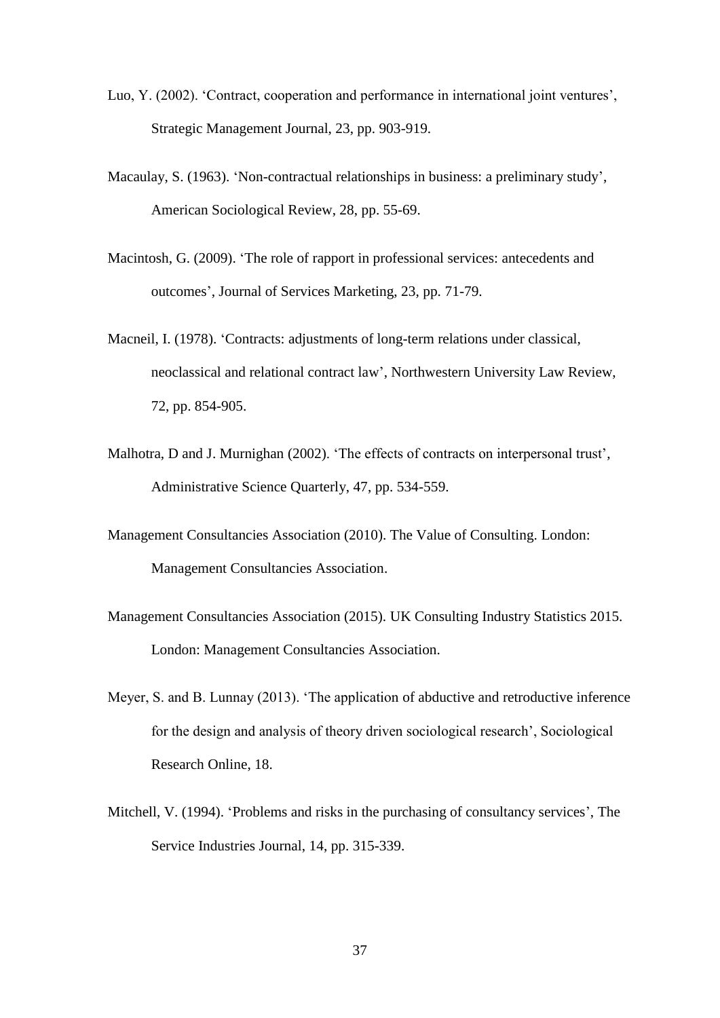- Luo, Y. (2002). 'Contract, cooperation and performance in international joint ventures', Strategic Management Journal, 23, pp. 903-919.
- Macaulay, S. (1963). 'Non-contractual relationships in business: a preliminary study', American Sociological Review, 28, pp. 55-69.
- Macintosh, G. (2009). 'The role of rapport in professional services: antecedents and outcomes', Journal of Services Marketing, 23, pp. 71-79.
- Macneil, I. (1978). 'Contracts: adjustments of long-term relations under classical, neoclassical and relational contract law', Northwestern University Law Review, 72, pp. 854-905.
- Malhotra, D and J. Murnighan (2002). 'The effects of contracts on interpersonal trust', Administrative Science Quarterly, 47, pp. 534-559.
- Management Consultancies Association (2010). The Value of Consulting. London: Management Consultancies Association.
- Management Consultancies Association (2015). UK Consulting Industry Statistics 2015. London: Management Consultancies Association.
- Meyer, S. and B. Lunnay (2013). 'The application of abductive and retroductive inference for the design and analysis of theory driven sociological research', Sociological Research Online, 18.
- Mitchell, V. (1994). 'Problems and risks in the purchasing of consultancy services', The Service Industries Journal, 14, pp. 315-339.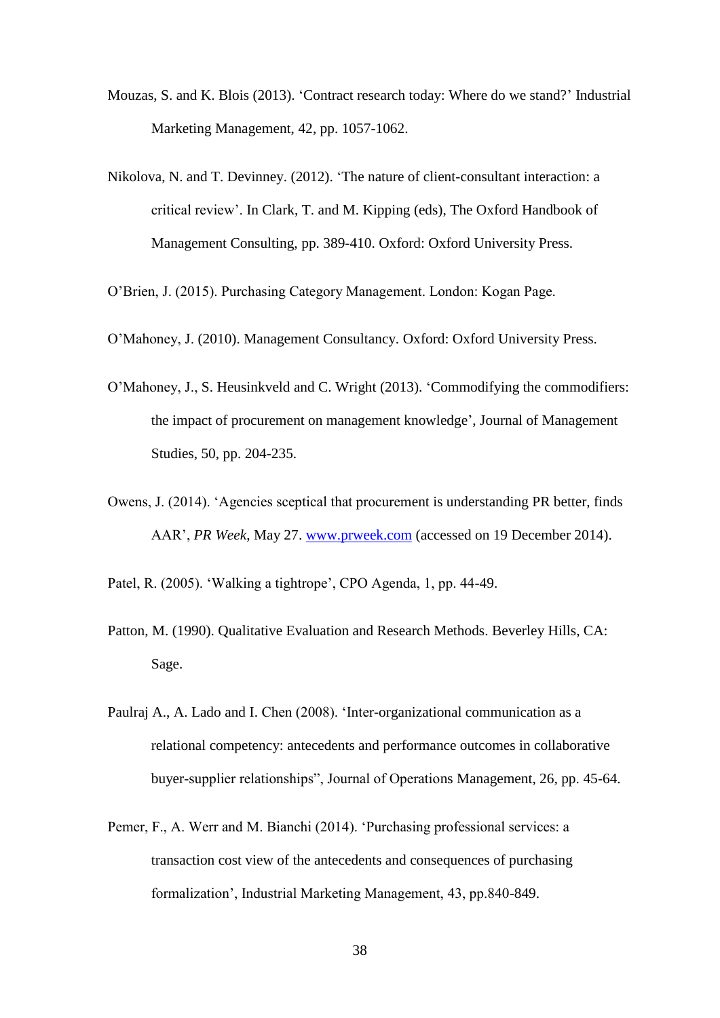- Mouzas, S. and K. Blois (2013). 'Contract research today: Where do we stand?' Industrial Marketing Management, 42, pp. 1057-1062.
- Nikolova, N. and T. Devinney. (2012). 'The nature of client-consultant interaction: a critical review'. In Clark, T. and M. Kipping (eds), The Oxford Handbook of Management Consulting, pp. 389-410. Oxford: Oxford University Press.
- O'Brien, J. (2015). Purchasing Category Management. London: Kogan Page.
- O'Mahoney, J. (2010). Management Consultancy. Oxford: Oxford University Press.
- O'Mahoney, J., S. Heusinkveld and C. Wright (2013). 'Commodifying the commodifiers: the impact of procurement on management knowledge', Journal of Management Studies, 50, pp. 204-235.
- Owens, J. (2014). 'Agencies sceptical that procurement is understanding PR better, finds AAR', *PR Week*, May 27. [www.prweek.com](http://www.prweek.com/) (accessed on 19 December 2014).
- Patel, R. (2005). 'Walking a tightrope', CPO Agenda, 1, pp. 44-49.
- Patton, M. (1990). Qualitative Evaluation and Research Methods. Beverley Hills, CA: Sage.
- Paulraj A., A. Lado and I. Chen (2008). 'Inter-organizational communication as a relational competency: antecedents and performance outcomes in collaborative buyer-supplier relationships", Journal of Operations Management, 26, pp. 45-64.
- Pemer, F., A. Werr and M. Bianchi (2014). 'Purchasing professional services: a transaction cost view of the antecedents and consequences of purchasing formalization', Industrial Marketing Management, 43, pp.840-849.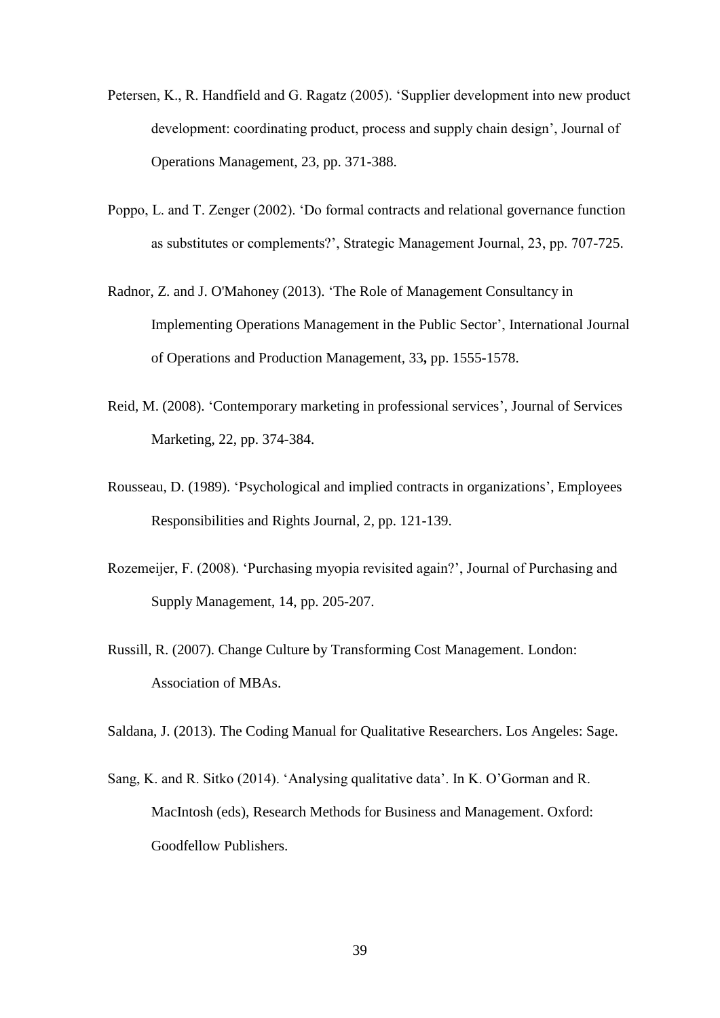- Petersen, K., R. Handfield and G. Ragatz (2005). 'Supplier development into new product development: coordinating product, process and supply chain design', Journal of Operations Management, 23, pp. 371-388.
- Poppo, L. and T. Zenger (2002). 'Do formal contracts and relational governance function as substitutes or complements?', Strategic Management Journal, 23, pp. 707-725.
- Radnor, Z. and J. O'Mahoney (2013). ['The Role of Management Consultancy in](http://dx.doi.org/10.1108/IJOPM-07-2010-0202)  [Implementing Operations Management in the Public Sector'](http://dx.doi.org/10.1108/IJOPM-07-2010-0202), International Journal of Operations and Production Management*,* 33**,** pp. 1555-1578.
- Reid, M. (2008). 'Contemporary marketing in professional services', Journal of Services Marketing, 22, pp. 374-384.
- Rousseau, D. (1989). 'Psychological and implied contracts in organizations', Employees Responsibilities and Rights Journal, 2, pp. 121-139.
- Rozemeijer, F. (2008). 'Purchasing myopia revisited again?', Journal of Purchasing and Supply Management, 14, pp. 205-207.
- Russill, R. (2007). Change Culture by Transforming Cost Management. London: Association of MBAs.

Saldana, J. (2013). The Coding Manual for Qualitative Researchers. Los Angeles: Sage.

Sang, K. and R. Sitko (2014). 'Analysing qualitative data'. In K. O'Gorman and R. MacIntosh (eds), Research Methods for Business and Management. Oxford: Goodfellow Publishers.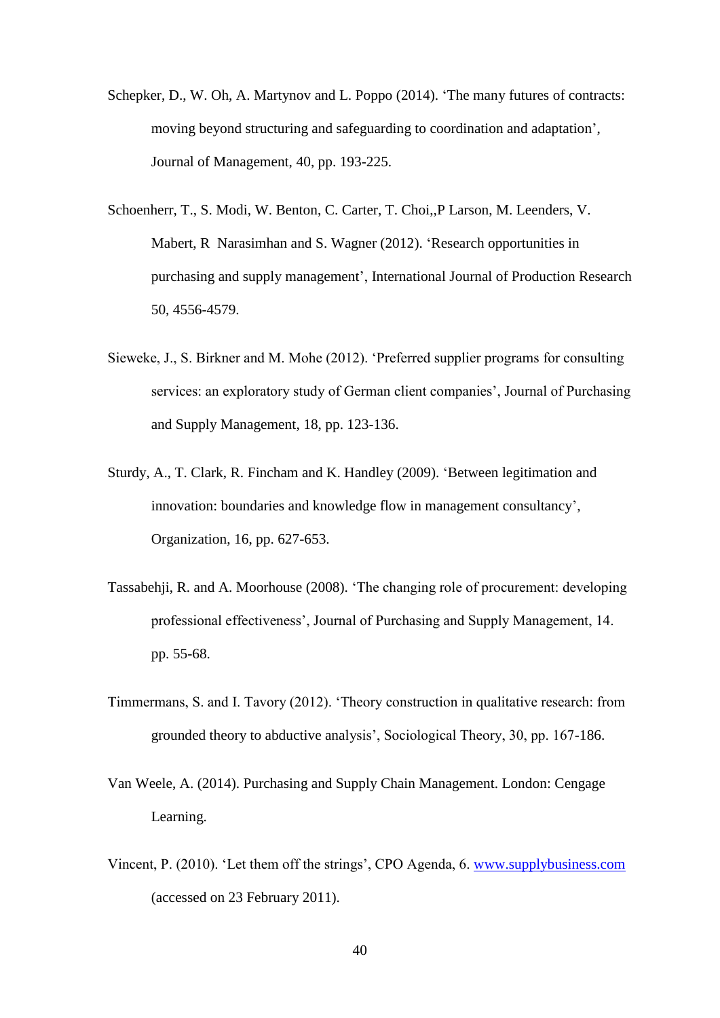- Schepker, D., W. Oh, A. Martynov and L. Poppo (2014). 'The many futures of contracts: moving beyond structuring and safeguarding to coordination and adaptation', Journal of Management, 40, pp. 193-225.
- Schoenherr, T., S. Modi, W. Benton, C. Carter, T. Choi,,P Larson, M. Leenders, V. Mabert, R Narasimhan and S. Wagner (2012). 'Research opportunities in purchasing and supply management', International Journal of Production Research 50, 4556-4579.
- Sieweke, J., S. Birkner and M. Mohe (2012). 'Preferred supplier programs for consulting services: an exploratory study of German client companies', Journal of Purchasing and Supply Management, 18, pp. 123-136.
- Sturdy, A., T. Clark, R. Fincham and K. Handley (2009). 'Between legitimation and innovation: boundaries and knowledge flow in management consultancy', Organization, 16, pp. 627-653.
- Tassabehji, R. and A. Moorhouse (2008). 'The changing role of procurement: developing professional effectiveness', Journal of Purchasing and Supply Management, 14. pp. 55-68.
- Timmermans, S. and I. Tavory (2012). 'Theory construction in qualitative research: from grounded theory to abductive analysis', Sociological Theory, 30, pp. 167-186.
- Van Weele, A. (2014). Purchasing and Supply Chain Management. London: Cengage Learning.
- Vincent, P. (2010). 'Let them off the strings', CPO Agenda, 6. [www.supplybusiness.com](http://www.supplybusiness.com/) (accessed on 23 February 2011).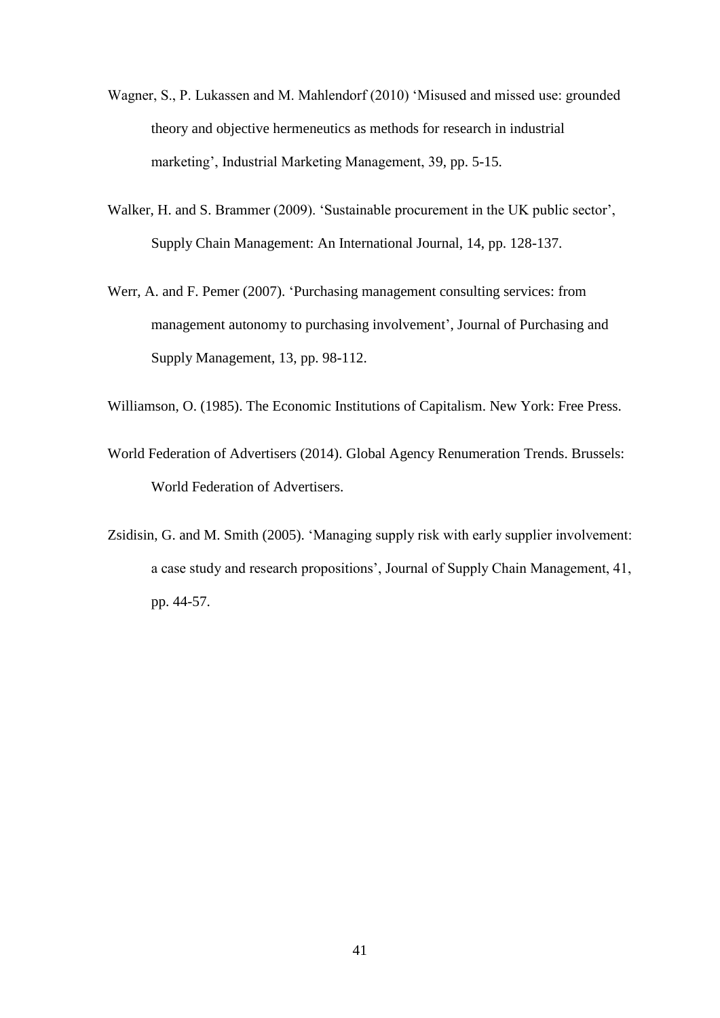- Wagner, S., P. Lukassen and M. Mahlendorf (2010) 'Misused and missed use: grounded theory and objective hermeneutics as methods for research in industrial marketing', Industrial Marketing Management, 39, pp. 5-15.
- Walker, H. and S. Brammer (2009). 'Sustainable procurement in the UK public sector', Supply Chain Management: An International Journal, 14, pp. 128-137.
- Werr, A. and F. Pemer (2007). 'Purchasing management consulting services: from management autonomy to purchasing involvement', Journal of Purchasing and Supply Management, 13, pp. 98-112.

Williamson, O. (1985). The Economic Institutions of Capitalism. New York: Free Press.

- World Federation of Advertisers (2014). Global Agency Renumeration Trends. Brussels: World Federation of Advertisers.
- Zsidisin, G. and M. Smith (2005). 'Managing supply risk with early supplier involvement: a case study and research propositions', Journal of Supply Chain Management, 41, pp. 44-57.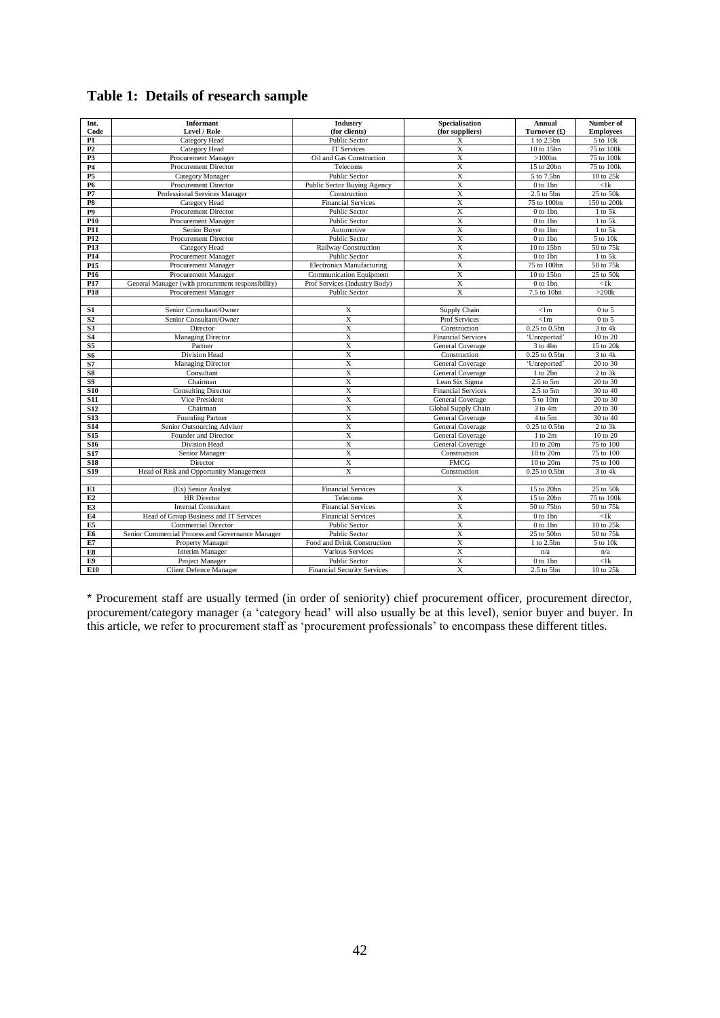## **Table 1: Details of research sample**

| Int.                   | <b>Informant</b>                                  | Industry                           | Specialisation            | Annual             | Number of            |
|------------------------|---------------------------------------------------|------------------------------------|---------------------------|--------------------|----------------------|
| Code                   | Level / Role                                      | (for clients)                      | (for suppliers)           | Turnover $(f)$     | <b>Employees</b>     |
| P1                     | Category Head                                     | <b>Public Sector</b>               | X                         | 1 to 2.5bn         | 5 to 10k             |
| P2                     | Category Head                                     | <b>IT Services</b>                 | $\overline{X}$            | 10 to 15bn         | 75 to 100k           |
| P <sub>3</sub>         | Procurement Manager                               | Oil and Gas Construction           | X                         | $>100$ bn          | 75 to 100k           |
| P4                     | Procurement Director                              | Telecoms                           | $\overline{\mathbf{X}}$   | 15 to 20bn         | 75 to 100k           |
| P <sub>5</sub>         | <b>Category Manager</b>                           | Public Sector                      | $\overline{X}$            | 5 to 7.5bn         | 10 to 25k            |
| <b>P6</b>              | Procurement Director                              | Public Sector Buying Agency        | $\overline{X}$            | 0 to 1bn           | $<$ l $\bf k$        |
| P7                     | Professional Services Manager                     | Construction                       | $\mathbf X$               | $2.5$ to $5bn$     | 25 to 50k            |
| P8                     | Category Head                                     | <b>Financial Services</b>          | X                         | 75 to 100bn        | 150 to 200k          |
| P <sub>9</sub>         | Procurement Director                              | Public Sector                      | $\overline{X}$            | 0 to 1bn           | $1$ to $5k$          |
| P <sub>10</sub>        | Procurement Manager                               | Public Sector                      | X                         | 0 to 1bn           | $1$ to $5k$          |
| P11                    | Senior Buyer                                      | Automotive                         | $\overline{X}$            | 0 to 1bn           | $1$ to $5k$          |
| P <sub>12</sub>        | Procurement Director                              | Public Sector                      | X                         | 0 to 1bn           | 5 to 10k             |
| P <sub>13</sub>        | Category Head                                     | Railway Construction               | $\overline{X}$            | 10 to 15bn         | 50 to 75k            |
| P14                    | Procurement Manager                               | Public Sector                      | $\mathbf X$               | 0 to 1bn           | 1 to 5k              |
| P <sub>15</sub>        | Procurement Manager                               | <b>Electronics Manufacturing</b>   | $\overline{X}$            | 75 to 100bn        | 50 to 75k            |
| P <sub>16</sub>        | Procurement Manager                               | <b>Communication Equipment</b>     | $\overline{X}$            | 10 to 15bn         | 25 to 50k            |
| P <sub>17</sub>        | General Manager (with procurement responsibility) | Prof Services (Industry Body)      | $\mathbf X$               | 0 to 1bn           | $<$ 1 $k$            |
| P <sub>18</sub>        | Procurement Manager                               | Public Sector                      | $\overline{\mathbf{X}}$   | 7.5 to 10bn        | $>200k$              |
|                        |                                                   |                                    |                           |                    |                      |
| S1                     | Senior Consultant/Owner                           | X                                  | Supply Chain              | < 1m               | $0$ to $5$           |
| S <sub>2</sub>         | Senior Consultant/Owner                           | $\overline{X}$                     | Prof Services             | < 1m               | $0$ to 5             |
| S <sub>3</sub>         | Director                                          | $\overline{X}$                     | Construction              | 0.25 to 0.5bn      | $\overline{3}$ to 4k |
| <b>S4</b>              | Managing Director                                 | X                                  | <b>Financial Services</b> | 'Unreported'       | 10 to 20             |
| $\overline{\text{S5}}$ | Partner                                           | $\overline{X}$                     | General Coverage          | 3 to 4bn           | 15 to 20k            |
| S6                     | Division Head                                     | $\overline{X}$                     | Construction              | $0.25$ to $0.5$ bn | $3$ to $4k$          |
| S7                     | Managing Director                                 | X                                  | General Coverage          | 'Unreported'       | 20 to 30             |
| S8                     | Consultant                                        | $\overline{X}$                     | General Coverage          | 1 to 2bn           | $2$ to $3k$          |
| S <sub>9</sub>         | Chairman                                          | X                                  | Lean Six Sigma            | $2.5$ to $5m$      | 20 to 30             |
| <b>S10</b>             | <b>Consulting Director</b>                        | $\overline{X}$                     | <b>Financial Services</b> | $2.5$ to $5m$      | 30 to 40             |
| <b>S11</b>             | Vice President                                    | $\mathbf X$                        | General Coverage          | 5 to 10m           | 20 to 30             |
| <b>S12</b>             | Chairman                                          | $\mathbf X$                        | Global Supply Chain       | $3$ to $4m$        | 20 to 30             |
| <b>S13</b>             | <b>Founding Partner</b>                           | X                                  | General Coverage          | 4 to 5m            | 30 to 40             |
| <b>S14</b>             | Senior Outsourcing Advisor                        | $\overline{X}$                     | <b>General Coverage</b>   | $0.25$ to $0.5$ bn | $2$ to $3k$          |
| S <sub>15</sub>        | Founder and Director                              | $\overline{X}$                     | General Coverage          | 1 to 2m            | 10 to 20             |
| <b>S16</b>             | Division Head                                     | $\overline{X}$                     | General Coverage          | 10 to 20m          | 75 to 100            |
| <b>S17</b>             | Senior Manager                                    | X                                  | Construction              | 10 to 20m          | 75 to 100            |
| <b>S18</b>             | Director                                          | $\overline{X}$                     | <b>FMCG</b>               | 10 to 20m          | 75 to 100            |
| <b>S19</b>             | Head of Risk and Opportunity Management           | X                                  | Construction              | $0.25$ to $0.5$ bn | $3$ to $4k$          |
|                        |                                                   |                                    |                           |                    |                      |
| E1                     | (Ex) Senior Analyst                               | <b>Financial Services</b>          | X                         | 15 to 20bn         | 25 to 50k            |
| E2                     | <b>HR</b> Director                                | Telecoms                           | $\overline{X}$            | 15 to 20bn         | 75 to 100k           |
| E3                     | <b>Internal Consultant</b>                        | <b>Financial Services</b>          | $\overline{X}$            | 50 to 75bn         | 50 to 75k            |
| E4                     | Head of Group Business and IT Services            | <b>Financial Services</b>          | X                         | 0 to 1bn           | $<$ 1 $k$            |
| E5                     | Commercial Director                               | Public Sector                      | $\overline{X}$            | 0 to 1bn           | 10 to 25k            |
| E6                     | Senior Commercial Process and Governance Manager  | Public Sector                      | X                         | 25 to 50bn         | 50 to 75k            |
| E7                     | Property Manager                                  | Food and Drink Construction        | $\overline{X}$            | 1 to 2.5bn         | 5 to 10k             |
| E8                     | <b>Interim Manager</b>                            | Various Services                   | $\mathbf X$               | n/a                | n/a                  |
| E9                     | Project Manager                                   | Public Sector                      | X                         | 0 to 1bn           | $\overline{<}1k$     |
| E10                    | <b>Client Defence Manager</b>                     | <b>Financial Security Services</b> | $\mathbf X$               | 2.5 to 5bn         | 10 to 25k            |

\* Procurement staff are usually termed (in order of seniority) chief procurement officer, procurement director, procurement/category manager (a 'category head' will also usually be at this level), senior buyer and buyer. In this article, we refer to procurement staff as 'procurement professionals' to encompass these different titles.